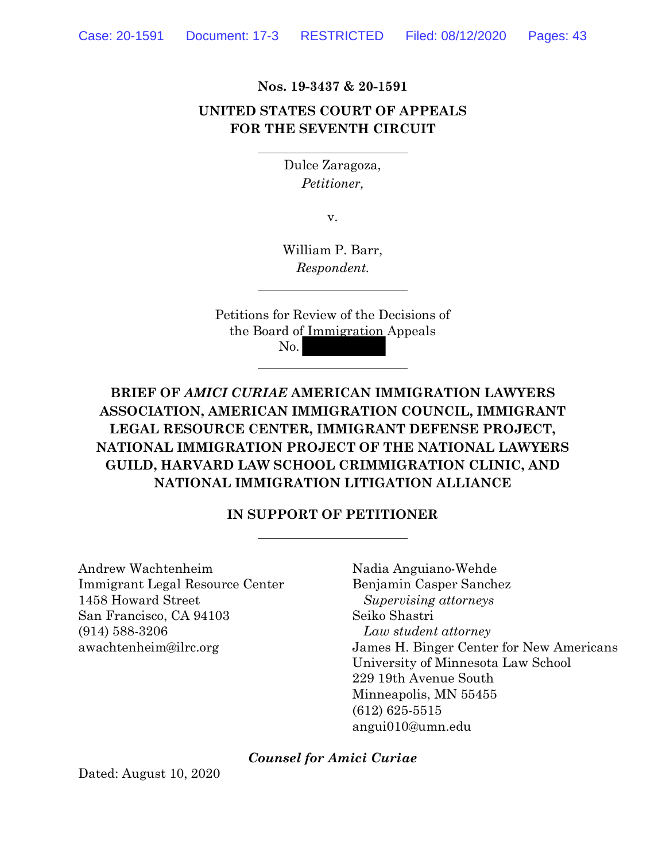**Nos. 19-3437 & 20-1591** 

## **UNITED STATES COURT OF APPEALS FOR THE SEVENTH CIRCUIT**

Dulce Zaragoza, *Petitioner,* 

v.

William P. Barr, *Respondent.* 

Petitions for Review of the Decisions of the Board of Immigration Appeals No.

**BRIEF OF** *AMICI CURIAE* **AMERICAN IMMIGRATION LAWYERS ASSOCIATION, AMERICAN IMMIGRATION COUNCIL, IMMIGRANT LEGAL RESOURCE CENTER, IMMIGRANT DEFENSE PROJECT, NATIONAL IMMIGRATION PROJECT OF THE NATIONAL LAWYERS GUILD, HARVARD LAW SCHOOL CRIMMIGRATION CLINIC, AND NATIONAL IMMIGRATION LITIGATION ALLIANCE**

## **IN SUPPORT OF PETITIONER**

Andrew Wachtenheim Nadia Anguiano-Wehde Immigrant Legal Resource Center Benjamin Casper Sanchez 1458 Howard Street *Supervising attorneys*  San Francisco, CA 94103 Seiko Shastri (914) 588-3206 *Law student attorney* 

awachtenheim@ilrc.org James H. Binger Center for New Americans University of Minnesota Law School 229 19th Avenue South Minneapolis, MN 55455 (612) 625-5515 angui010@umn.edu

*Counsel for Amici Curiae*

Dated: August 10, 2020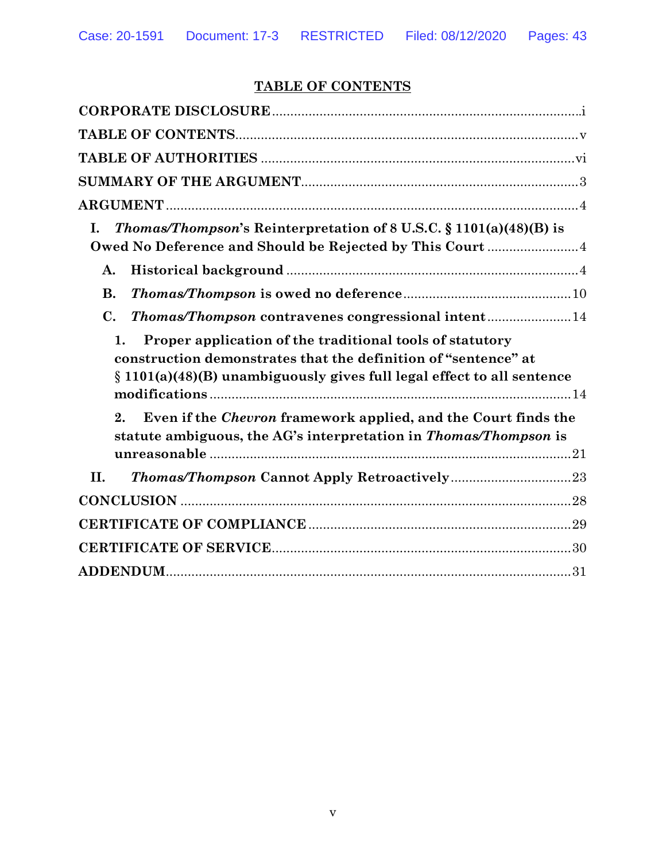# **TABLE OF CONTENTS**

| L.<br><i>Thomas/Thompson's</i> Reinterpretation of 8 U.S.C. § 1101(a)(48)(B) is<br>Owed No Deference and Should be Rejected by This Court  4                                                                  |
|---------------------------------------------------------------------------------------------------------------------------------------------------------------------------------------------------------------|
| A.                                                                                                                                                                                                            |
| <b>B.</b>                                                                                                                                                                                                     |
| $\mathbf{C}$ .<br>Thomas/Thompson contravenes congressional intent14                                                                                                                                          |
| Proper application of the traditional tools of statutory<br>1.<br>construction demonstrates that the definition of "sentence" at<br>$\S 1101(a)(48)(B)$ unambiguously gives full legal effect to all sentence |
| Even if the <i>Chevron</i> framework applied, and the Court finds the<br>2.<br>statute ambiguous, the AG's interpretation in Thomas/Thompson is                                                               |
| II.                                                                                                                                                                                                           |
|                                                                                                                                                                                                               |
|                                                                                                                                                                                                               |
|                                                                                                                                                                                                               |
|                                                                                                                                                                                                               |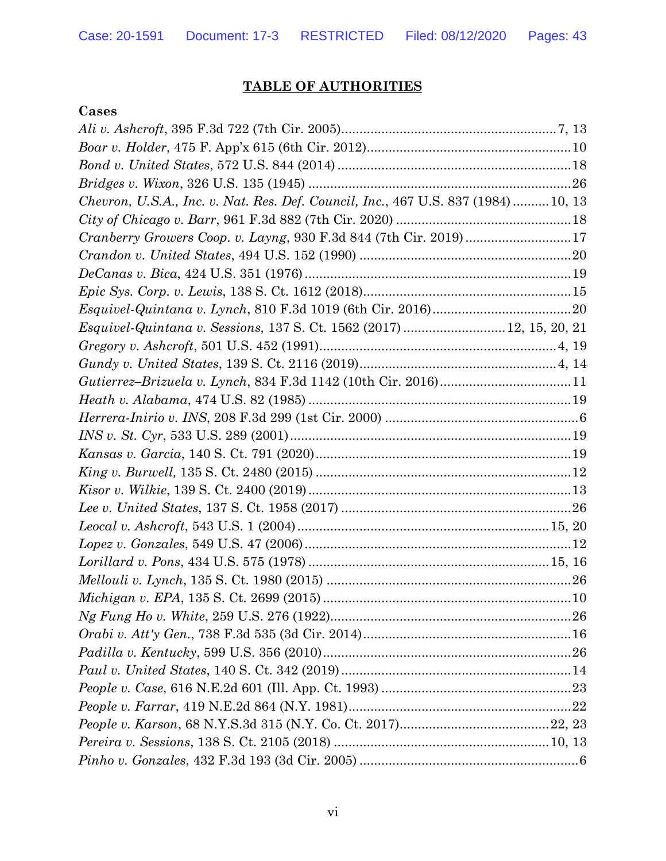# **TABLE OF AUTHORITIES**

## **Cases**

| Chevron, U.S.A., Inc. v. Nat. Res. Def. Council, Inc., 467 U.S. 837 (1984)  10, 13 |  |
|------------------------------------------------------------------------------------|--|
|                                                                                    |  |
| Cranberry Growers Coop. v. Layng, 930 F.3d 844 (7th Cir. 2019)17                   |  |
|                                                                                    |  |
|                                                                                    |  |
|                                                                                    |  |
|                                                                                    |  |
| <i>Esquivel-Quintana v. Sessions, 137 S. Ct. 1562 (2017) 12, 15, 20, 21</i>        |  |
|                                                                                    |  |
|                                                                                    |  |
|                                                                                    |  |
|                                                                                    |  |
|                                                                                    |  |
|                                                                                    |  |
|                                                                                    |  |
|                                                                                    |  |
|                                                                                    |  |
|                                                                                    |  |
|                                                                                    |  |
|                                                                                    |  |
|                                                                                    |  |
|                                                                                    |  |
|                                                                                    |  |
|                                                                                    |  |
|                                                                                    |  |
|                                                                                    |  |
|                                                                                    |  |
|                                                                                    |  |
|                                                                                    |  |
|                                                                                    |  |
|                                                                                    |  |
|                                                                                    |  |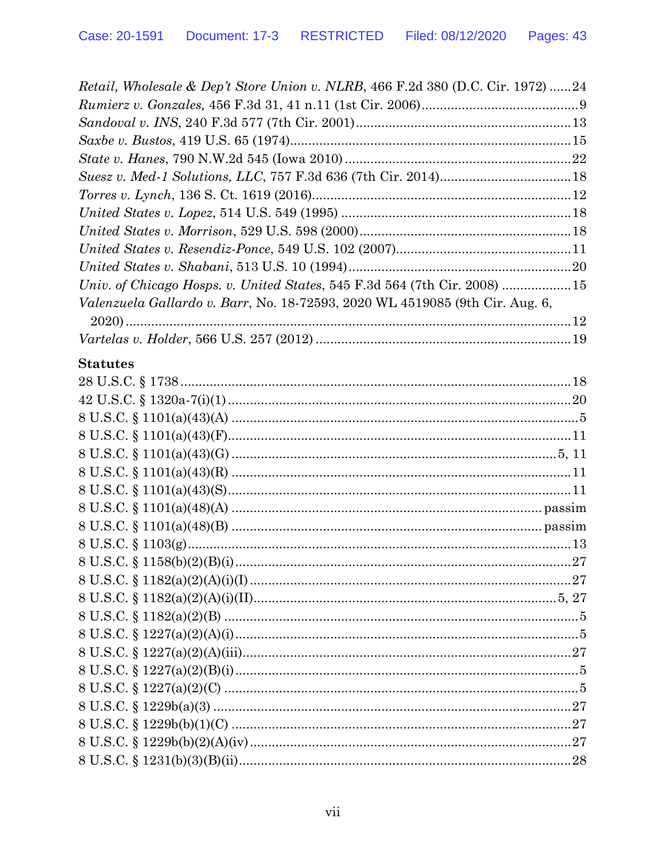| Retail, Wholesale & Dep't Store Union v. NLRB, 466 F.2d 380 (D.C. Cir. 1972) 24     |  |
|-------------------------------------------------------------------------------------|--|
|                                                                                     |  |
|                                                                                     |  |
|                                                                                     |  |
|                                                                                     |  |
|                                                                                     |  |
|                                                                                     |  |
|                                                                                     |  |
|                                                                                     |  |
|                                                                                     |  |
|                                                                                     |  |
| Univ. of Chicago Hosps. v. United States, 545 F.3d 564 (7th Cir. 2008) 15           |  |
| <i>Valenzuela Gallardo v. Barr, No.</i> 18-72593, 2020 WL 4519085 (9th Cir. Aug. 6, |  |
|                                                                                     |  |
|                                                                                     |  |

## **Statutes**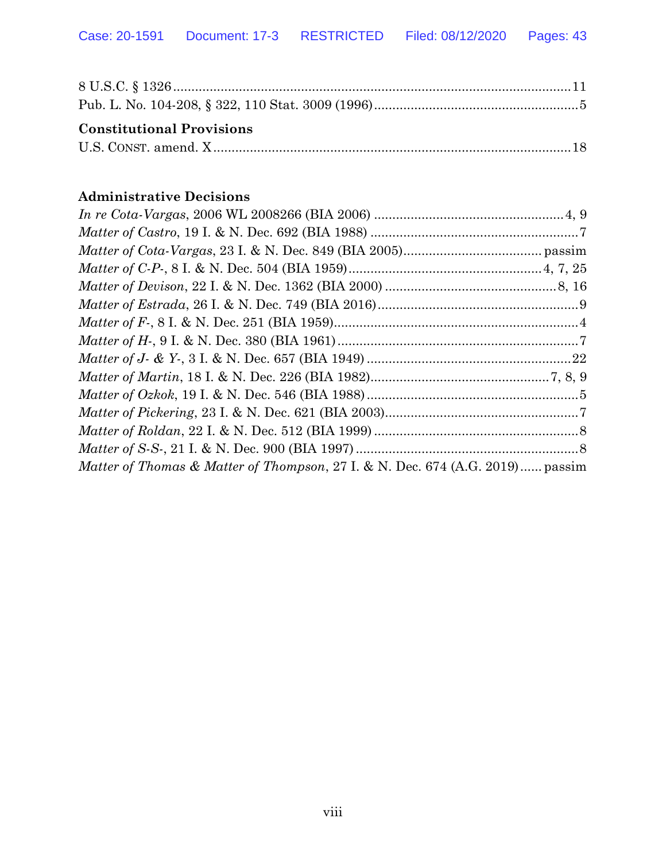| <b>Constitutional Provisions</b> |  |
|----------------------------------|--|
|                                  |  |

## **Administrative Decisions**

| <i>Matter of Thomas &amp; Matter of Thompson, 27 I. &amp; N. Dec. 674 (A.G. 2019) passim</i> |  |
|----------------------------------------------------------------------------------------------|--|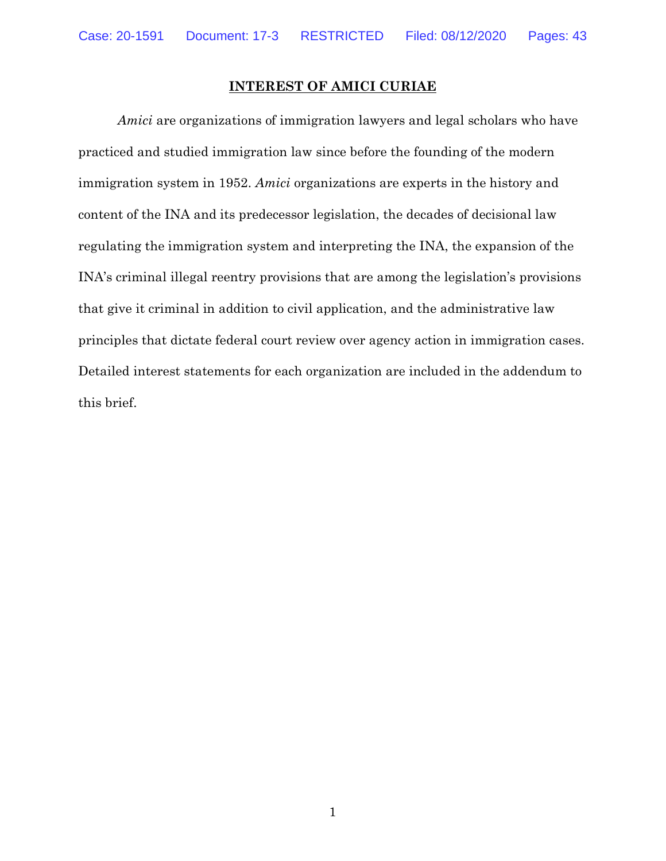#### **INTEREST OF AMICI CURIAE**

*Amici* are organizations of immigration lawyers and legal scholars who have practiced and studied immigration law since before the founding of the modern immigration system in 1952. *Amici* organizations are experts in the history and content of the INA and its predecessor legislation, the decades of decisional law regulating the immigration system and interpreting the INA, the expansion of the INA's criminal illegal reentry provisions that are among the legislation's provisions that give it criminal in addition to civil application, and the administrative law principles that dictate federal court review over agency action in immigration cases. Detailed interest statements for each organization are included in the addendum to this brief.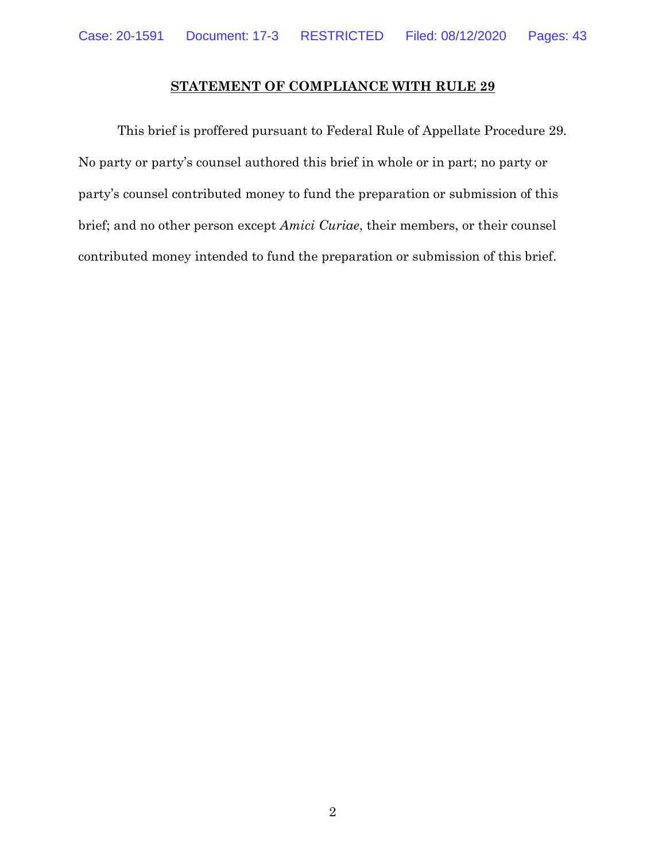## **STATEMENT OF COMPLIANCE WITH RULE 29**

This brief is proffered pursuant to Federal Rule of Appellate Procedure 29. No party or party's counsel authored this brief in whole or in part; no party or party's counsel contributed money to fund the preparation or submission of this brief; and no other person except *Amici Curiae*, their members, or their counsel contributed money intended to fund the preparation or submission of this brief.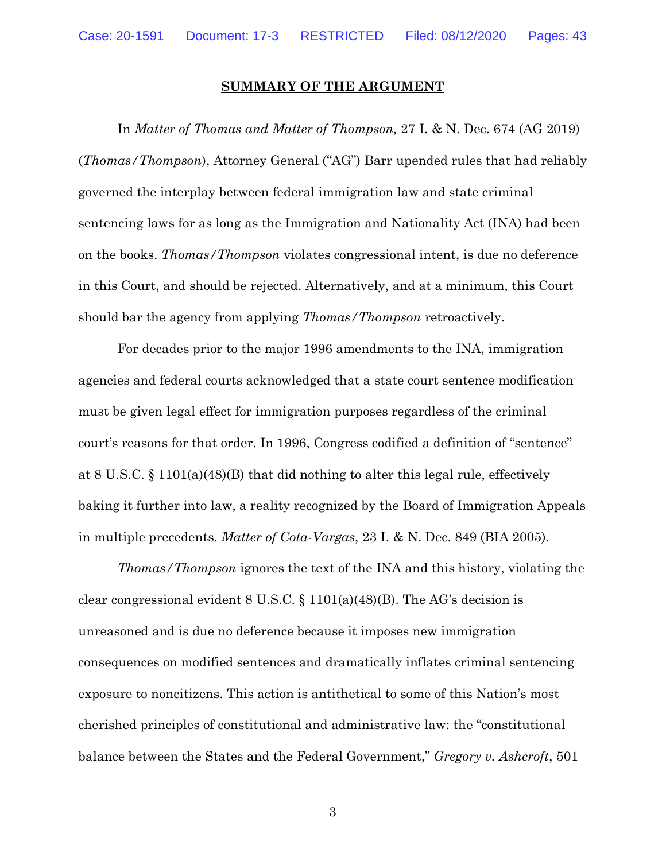#### **SUMMARY OF THE ARGUMENT**

In *Matter of Thomas and Matter of Thompson,* 27 I. & N. Dec. 674 (AG 2019) (*Thomas/Thompson*), Attorney General ("AG") Barr upended rules that had reliably governed the interplay between federal immigration law and state criminal sentencing laws for as long as the Immigration and Nationality Act (INA) had been on the books. *Thomas/Thompson* violates congressional intent, is due no deference in this Court, and should be rejected. Alternatively, and at a minimum, this Court should bar the agency from applying *Thomas/Thompson* retroactively.

For decades prior to the major 1996 amendments to the INA, immigration agencies and federal courts acknowledged that a state court sentence modification must be given legal effect for immigration purposes regardless of the criminal court's reasons for that order. In 1996, Congress codified a definition of "sentence" at 8 U.S.C. § 1101(a)(48)(B) that did nothing to alter this legal rule, effectively baking it further into law, a reality recognized by the Board of Immigration Appeals in multiple precedents. *Matter of Cota-Vargas*, 23 I. & N. Dec. 849 (BIA 2005).

*Thomas/Thompson* ignores the text of the INA and this history, violating the clear congressional evident 8 U.S.C. § 1101(a)(48)(B). The AG's decision is unreasoned and is due no deference because it imposes new immigration consequences on modified sentences and dramatically inflates criminal sentencing exposure to noncitizens. This action is antithetical to some of this Nation's most cherished principles of constitutional and administrative law: the "constitutional balance between the States and the Federal Government," *Gregory v. Ashcroft*, 501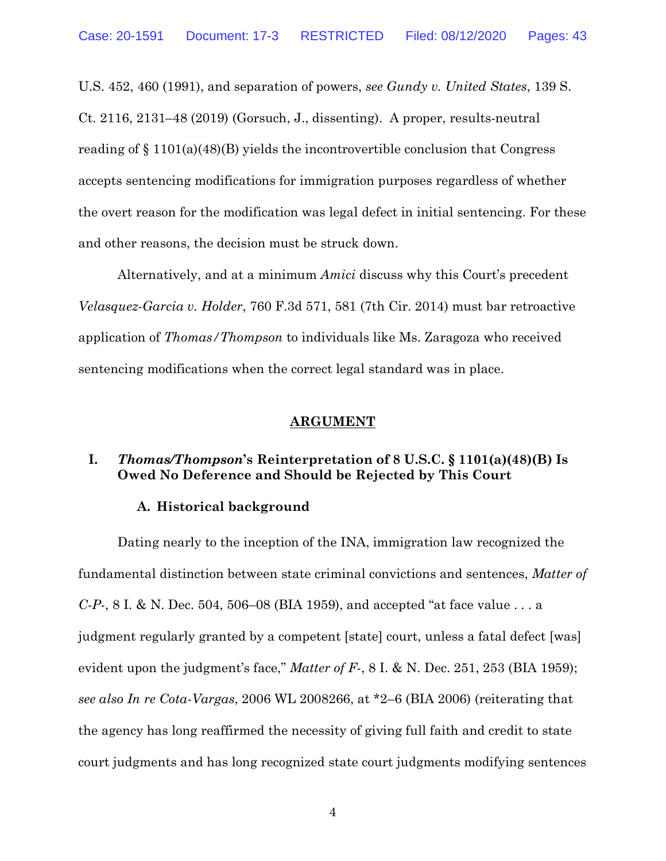U.S. 452, 460 (1991), and separation of powers, *see Gundy v. United States*, 139 S. Ct. 2116, 2131–48 (2019) (Gorsuch, J., dissenting). A proper, results-neutral reading of § 1101(a)(48)(B) yields the incontrovertible conclusion that Congress accepts sentencing modifications for immigration purposes regardless of whether the overt reason for the modification was legal defect in initial sentencing. For these and other reasons, the decision must be struck down.

Alternatively, and at a minimum *Amici* discuss why this Court's precedent *Velasquez-Garcia v. Holder*, 760 F.3d 571, 581 (7th Cir. 2014) must bar retroactive application of *Thomas/Thompson* to individuals like Ms. Zaragoza who received sentencing modifications when the correct legal standard was in place.

#### **ARGUMENT**

### **I.** *Thomas/Thompson***'s Reinterpretation of 8 U.S.C. § 1101(a)(48)(B) Is Owed No Deference and Should be Rejected by This Court**

#### **A. Historical background**

Dating nearly to the inception of the INA, immigration law recognized the fundamental distinction between state criminal convictions and sentences, *Matter of C-P-*, 8 I. & N. Dec. 504, 506–08 (BIA 1959), and accepted "at face value . . . a judgment regularly granted by a competent [state] court, unless a fatal defect [was] evident upon the judgment's face," *Matter of F-*, 8 I. & N. Dec. 251, 253 (BIA 1959); *see also In re Cota-Vargas*, 2006 WL 2008266, at \*2–6 (BIA 2006) (reiterating that the agency has long reaffirmed the necessity of giving full faith and credit to state court judgments and has long recognized state court judgments modifying sentences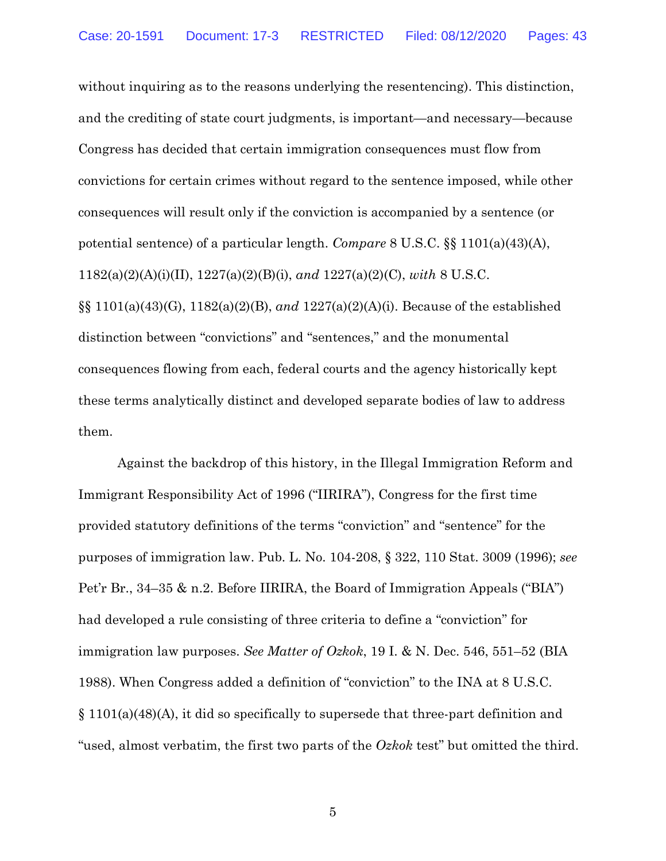without inquiring as to the reasons underlying the resentencing). This distinction, and the crediting of state court judgments, is important—and necessary—because Congress has decided that certain immigration consequences must flow from convictions for certain crimes without regard to the sentence imposed, while other consequences will result only if the conviction is accompanied by a sentence (or potential sentence) of a particular length. *Compare* 8 U.S.C. §§ 1101(a)(43)(A), 1182(a)(2)(A)(i)(II), 1227(a)(2)(B)(i), *and* 1227(a)(2)(C), *with* 8 U.S.C. §§ 1101(a)(43)(G), 1182(a)(2)(B), *and* 1227(a)(2)(A)(i). Because of the established distinction between "convictions" and "sentences," and the monumental consequences flowing from each, federal courts and the agency historically kept these terms analytically distinct and developed separate bodies of law to address them.

Against the backdrop of this history, in the Illegal Immigration Reform and Immigrant Responsibility Act of 1996 ("IIRIRA"), Congress for the first time provided statutory definitions of the terms "conviction" and "sentence" for the purposes of immigration law. Pub. L. No. 104-208, § 322, 110 Stat. 3009 (1996); *see*  Pet'r Br., 34–35 & n.2. Before IIRIRA, the Board of Immigration Appeals ("BIA") had developed a rule consisting of three criteria to define a "conviction" for immigration law purposes. *See Matter of Ozkok*, 19 I. & N. Dec. 546, 551–52 (BIA 1988). When Congress added a definition of "conviction" to the INA at 8 U.S.C. § 1101(a)(48)(A), it did so specifically to supersede that three-part definition and "used, almost verbatim, the first two parts of the *Ozkok* test" but omitted the third.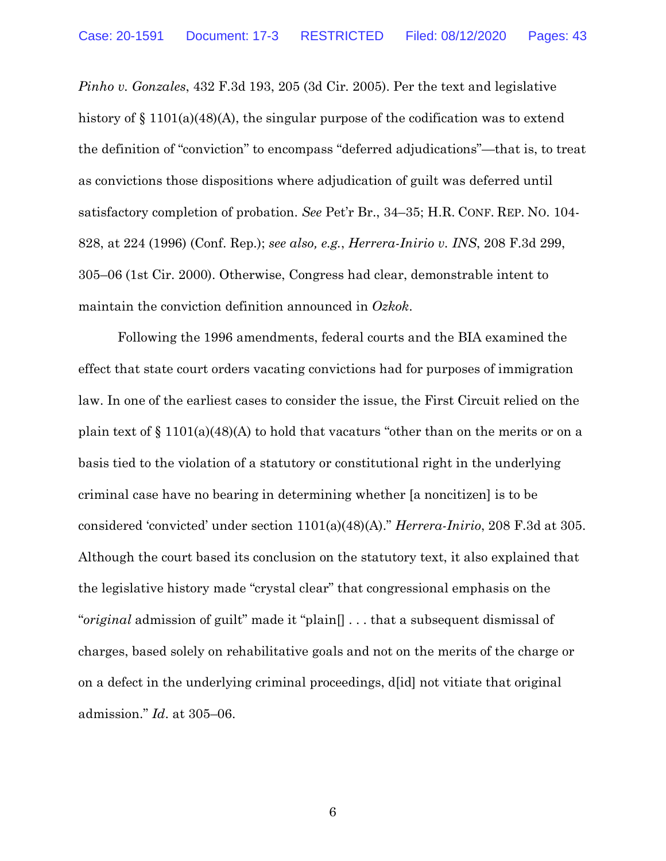*Pinho v. Gonzales*, 432 F.3d 193, 205 (3d Cir. 2005). Per the text and legislative history of § 1101(a)(48)(A), the singular purpose of the codification was to extend the definition of "conviction" to encompass "deferred adjudications"—that is, to treat as convictions those dispositions where adjudication of guilt was deferred until satisfactory completion of probation. *See* Pet'r Br., 34–35; H.R. CONF. REP. NO. 104- 828, at 224 (1996) (Conf. Rep.); *see also, e.g.*, *Herrera-Inirio v. INS*, 208 F.3d 299, 305–06 (1st Cir. 2000). Otherwise, Congress had clear, demonstrable intent to maintain the conviction definition announced in *Ozkok*.

Following the 1996 amendments, federal courts and the BIA examined the effect that state court orders vacating convictions had for purposes of immigration law. In one of the earliest cases to consider the issue, the First Circuit relied on the plain text of  $\S 1101(a)(48)(A)$  to hold that vacaturs "other than on the merits or on a basis tied to the violation of a statutory or constitutional right in the underlying criminal case have no bearing in determining whether [a noncitizen] is to be considered 'convicted' under section 1101(a)(48)(A)." *Herrera-Inirio*, 208 F.3d at 305. Although the court based its conclusion on the statutory text, it also explained that the legislative history made "crystal clear" that congressional emphasis on the "*original* admission of guilt" made it "plain[] . . . that a subsequent dismissal of charges, based solely on rehabilitative goals and not on the merits of the charge or on a defect in the underlying criminal proceedings, d[id] not vitiate that original admission." *Id*. at 305–06.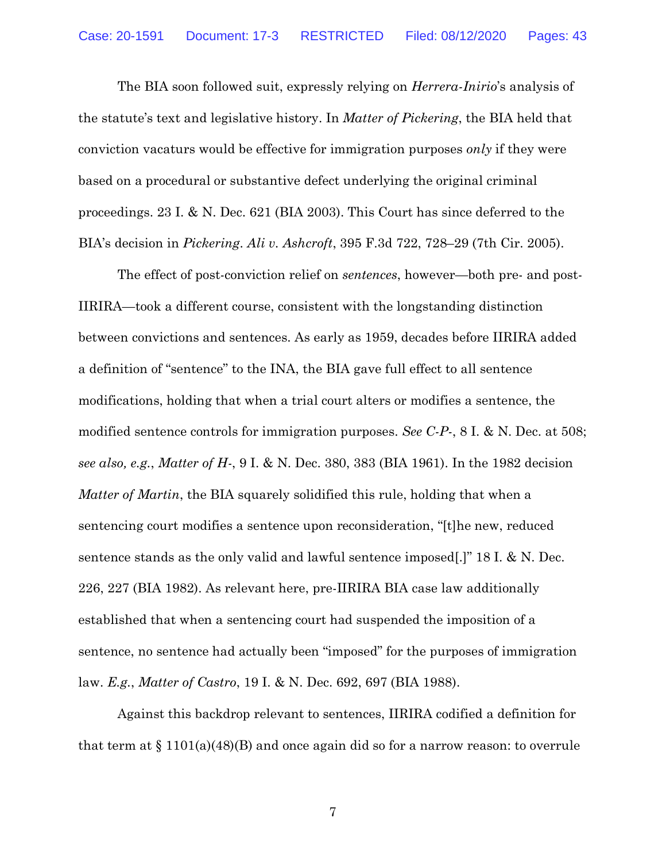The BIA soon followed suit, expressly relying on *Herrera-Inirio*'s analysis of the statute's text and legislative history. In *Matter of Pickering*, the BIA held that conviction vacaturs would be effective for immigration purposes *only* if they were based on a procedural or substantive defect underlying the original criminal proceedings. 23 I. & N. Dec. 621 (BIA 2003). This Court has since deferred to the BIA's decision in *Pickering*. *Ali v. Ashcroft*, 395 F.3d 722, 728–29 (7th Cir. 2005).

The effect of post-conviction relief on *sentences*, however—both pre- and post-IIRIRA—took a different course, consistent with the longstanding distinction between convictions and sentences. As early as 1959, decades before IIRIRA added a definition of "sentence" to the INA, the BIA gave full effect to all sentence modifications, holding that when a trial court alters or modifies a sentence, the modified sentence controls for immigration purposes. *See C-P-*, 8 I. & N. Dec. at 508; *see also, e.g.*, *Matter of H-*, 9 I. & N. Dec. 380, 383 (BIA 1961). In the 1982 decision *Matter of Martin*, the BIA squarely solidified this rule, holding that when a sentencing court modifies a sentence upon reconsideration, "[t]he new, reduced sentence stands as the only valid and lawful sentence imposed[.]" 18 I. & N. Dec. 226, 227 (BIA 1982). As relevant here, pre-IIRIRA BIA case law additionally established that when a sentencing court had suspended the imposition of a sentence, no sentence had actually been "imposed" for the purposes of immigration law. *E.g.*, *Matter of Castro*, 19 I. & N. Dec. 692, 697 (BIA 1988).

Against this backdrop relevant to sentences, IIRIRA codified a definition for that term at  $\S 1101(a)(48)(B)$  and once again did so for a narrow reason: to overrule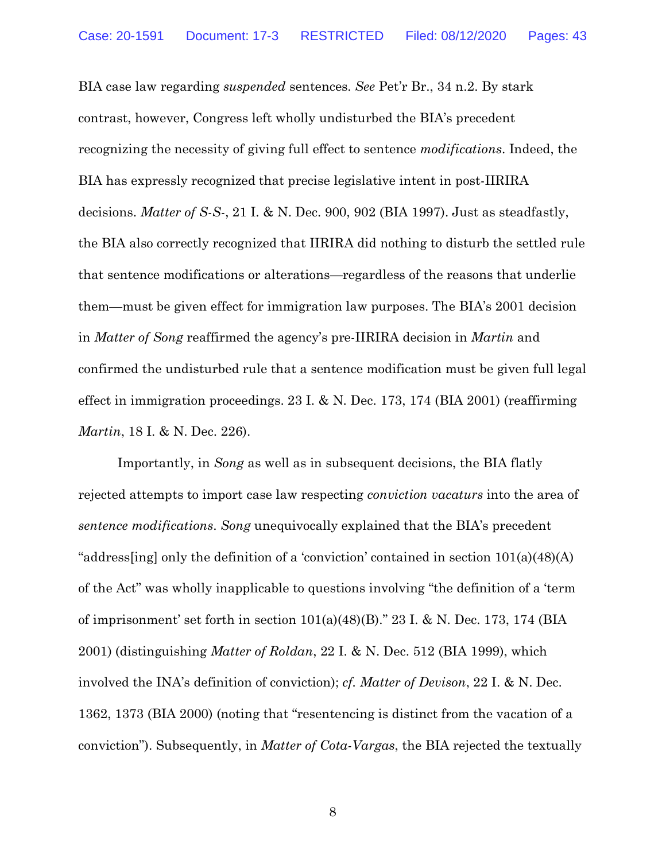BIA case law regarding *suspended* sentences. *See* Pet'r Br., 34 n.2. By stark contrast, however, Congress left wholly undisturbed the BIA's precedent recognizing the necessity of giving full effect to sentence *modifications*. Indeed, the BIA has expressly recognized that precise legislative intent in post-IIRIRA decisions. *Matter of S-S-*, 21 I. & N. Dec. 900, 902 (BIA 1997). Just as steadfastly, the BIA also correctly recognized that IIRIRA did nothing to disturb the settled rule that sentence modifications or alterations—regardless of the reasons that underlie them—must be given effect for immigration law purposes. The BIA's 2001 decision in *Matter of Song* reaffirmed the agency's pre-IIRIRA decision in *Martin* and confirmed the undisturbed rule that a sentence modification must be given full legal effect in immigration proceedings. 23 I. & N. Dec. 173, 174 (BIA 2001) (reaffirming *Martin*, 18 I. & N. Dec. 226).

Importantly, in *Song* as well as in subsequent decisions, the BIA flatly rejected attempts to import case law respecting *conviction vacaturs* into the area of *sentence modifications*. *Song* unequivocally explained that the BIA's precedent "address[ing] only the definition of a 'conviction' contained in section 101(a)(48)(A) of the Act" was wholly inapplicable to questions involving "the definition of a 'term of imprisonment' set forth in section  $101(a)(48)(B)$ ." 23 I. & N. Dec. 173, 174 (BIA 2001) (distinguishing *Matter of Roldan*, 22 I. & N. Dec. 512 (BIA 1999), which involved the INA's definition of conviction); *cf. Matter of Devison*, 22 I. & N. Dec. 1362, 1373 (BIA 2000) (noting that "resentencing is distinct from the vacation of a conviction"). Subsequently, in *Matter of Cota-Vargas*, the BIA rejected the textually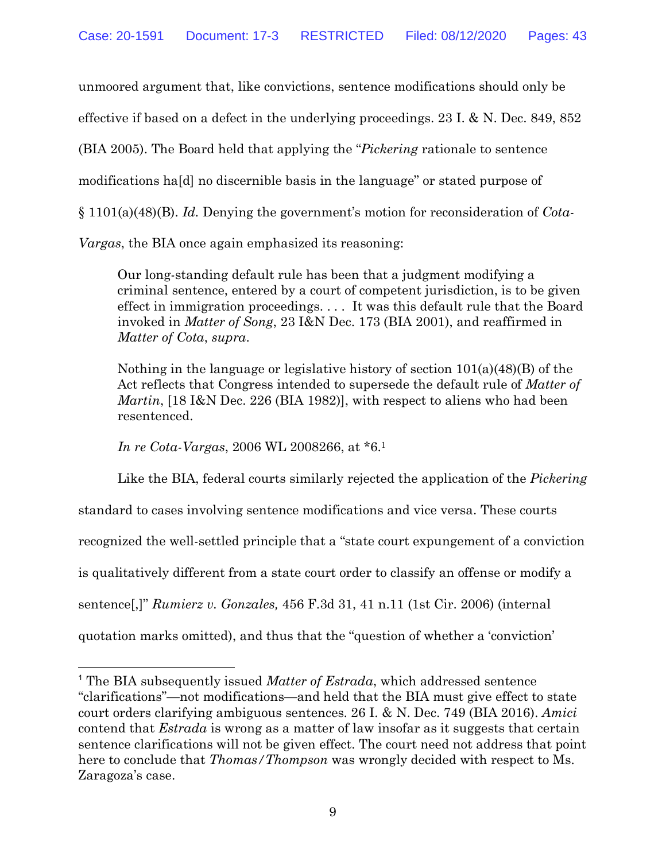unmoored argument that, like convictions, sentence modifications should only be effective if based on a defect in the underlying proceedings. 23 I. & N. Dec. 849, 852 (BIA 2005). The Board held that applying the "*Pickering* rationale to sentence modifications ha[d] no discernible basis in the language" or stated purpose of § 1101(a)(48)(B). *Id.* Denying the government's motion for reconsideration of *Cota-Vargas*, the BIA once again emphasized its reasoning:

Our long-standing default rule has been that a judgment modifying a criminal sentence, entered by a court of competent jurisdiction, is to be given effect in immigration proceedings. . . . It was this default rule that the Board invoked in *Matter of Song*, 23 I&N Dec. 173 (BIA 2001), and reaffirmed in *Matter of Cota*, *supra*.

Nothing in the language or legislative history of section  $101(a)(48)(B)$  of the Act reflects that Congress intended to supersede the default rule of *Matter of Martin*, [18 I&N Dec. 226 (BIA 1982)], with respect to aliens who had been resentenced.

*In re Cota-Vargas*, 2006 WL 2008266, at \*6.1

Like the BIA, federal courts similarly rejected the application of the *Pickering* standard to cases involving sentence modifications and vice versa. These courts recognized the well-settled principle that a "state court expungement of a conviction is qualitatively different from a state court order to classify an offense or modify a sentence[,]" *Rumierz v. Gonzales,* 456 F.3d 31, 41 n.11 (1st Cir. 2006) (internal quotation marks omitted), and thus that the "question of whether a 'conviction'

 <sup>1</sup> The BIA subsequently issued *Matter of Estrada*, which addressed sentence "clarifications"—not modifications—and held that the BIA must give effect to state court orders clarifying ambiguous sentences. 26 I. & N. Dec. 749 (BIA 2016). *Amici*  contend that *Estrada* is wrong as a matter of law insofar as it suggests that certain sentence clarifications will not be given effect. The court need not address that point here to conclude that *Thomas/Thompson* was wrongly decided with respect to Ms. Zaragoza's case.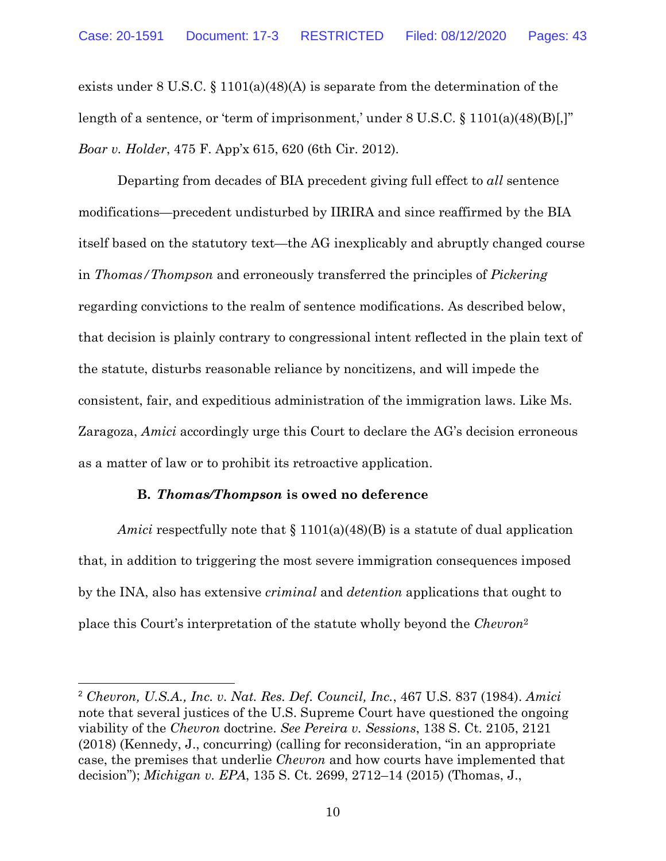exists under 8 U.S.C. § 1101(a)(48)(A) is separate from the determination of the length of a sentence, or 'term of imprisonment,' under 8 U.S.C. § 1101(a)(48)(B)[,]" *Boar v. Holder*, 475 F. App'x 615, 620 (6th Cir. 2012).

Departing from decades of BIA precedent giving full effect to *all* sentence modifications—precedent undisturbed by IIRIRA and since reaffirmed by the BIA itself based on the statutory text—the AG inexplicably and abruptly changed course in *Thomas/Thompson* and erroneously transferred the principles of *Pickering*  regarding convictions to the realm of sentence modifications. As described below, that decision is plainly contrary to congressional intent reflected in the plain text of the statute, disturbs reasonable reliance by noncitizens, and will impede the consistent, fair, and expeditious administration of the immigration laws. Like Ms. Zaragoza, *Amici* accordingly urge this Court to declare the AG's decision erroneous as a matter of law or to prohibit its retroactive application.

#### **B.** *Thomas/Thompson* **is owed no deference**

*Amici* respectfully note that § 1101(a)(48)(B) is a statute of dual application that, in addition to triggering the most severe immigration consequences imposed by the INA, also has extensive *criminal* and *detention* applications that ought to place this Court's interpretation of the statute wholly beyond the *Chevron*<sup>2</sup>

 <sup>2</sup> *Chevron, U.S.A., Inc. v. Nat. Res. Def. Council, Inc.*, 467 U.S. 837 (1984). *Amici*  note that several justices of the U.S. Supreme Court have questioned the ongoing viability of the *Chevron* doctrine. *See Pereira v. Sessions*, 138 S. Ct. 2105, 2121 (2018) (Kennedy, J., concurring) (calling for reconsideration, "in an appropriate case, the premises that underlie *Chevron* and how courts have implemented that decision"); *Michigan v. EPA*, 135 S. Ct. 2699, 2712–14 (2015) (Thomas, J.,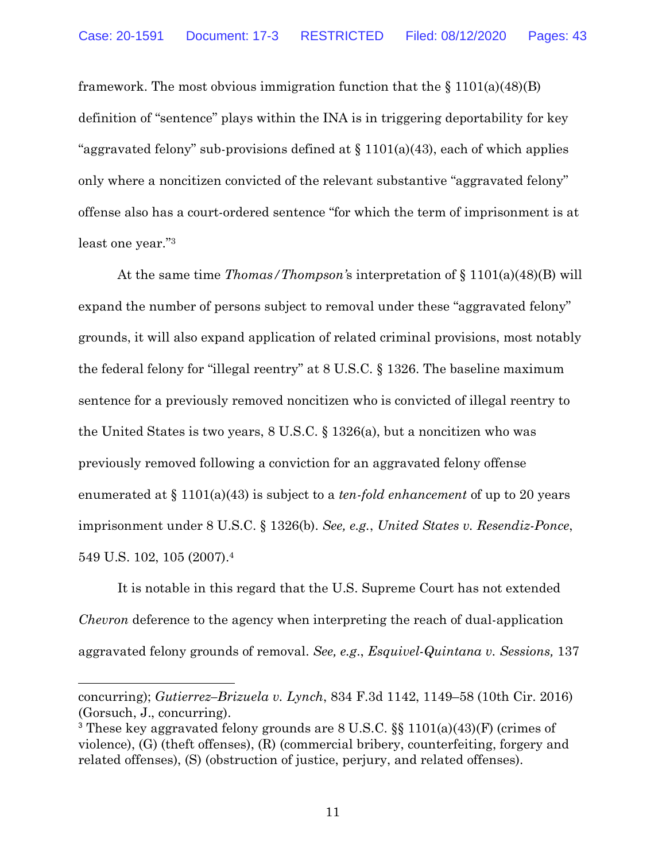framework. The most obvious immigration function that the  $\S 1101(a)(48)$ (B) definition of "sentence" plays within the INA is in triggering deportability for key "aggravated felony" sub-provisions defined at  $\S$  1101(a)(43), each of which applies only where a noncitizen convicted of the relevant substantive "aggravated felony" offense also has a court-ordered sentence "for which the term of imprisonment is at least one year."3

At the same time *Thomas/Thompson'*s interpretation of § 1101(a)(48)(B) will expand the number of persons subject to removal under these "aggravated felony" grounds, it will also expand application of related criminal provisions, most notably the federal felony for "illegal reentry" at 8 U.S.C. § 1326. The baseline maximum sentence for a previously removed noncitizen who is convicted of illegal reentry to the United States is two years, 8 U.S.C. § 1326(a), but a noncitizen who was previously removed following a conviction for an aggravated felony offense enumerated at § 1101(a)(43) is subject to a *ten-fold enhancement* of up to 20 years imprisonment under 8 U.S.C. § 1326(b). *See, e.g.*, *United States v. Resendiz-Ponce*, 549 U.S. 102, 105 (2007). 4

It is notable in this regard that the U.S. Supreme Court has not extended *Chevron* deference to the agency when interpreting the reach of dual-application aggravated felony grounds of removal. *See, e.g*., *Esquivel-Quintana v. Sessions,* 137

concurring); *Gutierrez–Brizuela v. Lynch*, 834 F.3d 1142, 1149–58 (10th Cir. 2016) (Gorsuch, J., concurring).

 $\overline{a}$ 

<sup>3</sup> These key aggravated felony grounds are 8 U.S.C. §§ 1101(a)(43)(F) (crimes of violence), (G) (theft offenses), (R) (commercial bribery, counterfeiting, forgery and related offenses), (S) (obstruction of justice, perjury, and related offenses).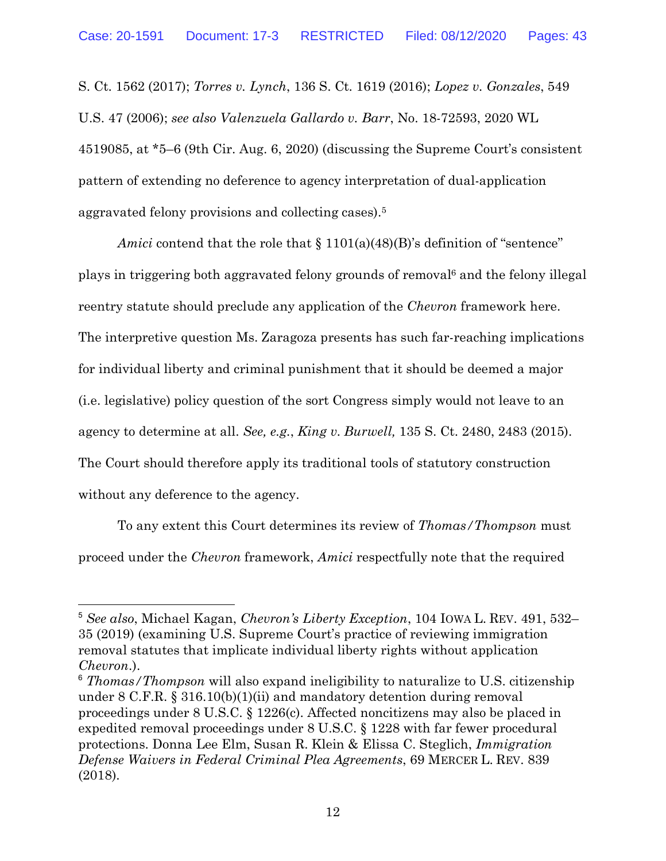S. Ct. 1562 (2017); *Torres v. Lynch*, 136 S. Ct. 1619 (2016); *Lopez v. Gonzales*, 549 U.S. 47 (2006); *see also Valenzuela Gallardo v. Barr*, No. 18-72593, 2020 WL 4519085, at \*5–6 (9th Cir. Aug. 6, 2020) (discussing the Supreme Court's consistent pattern of extending no deference to agency interpretation of dual-application aggravated felony provisions and collecting cases).5

*Amici* contend that the role that § 1101(a)(48)(B)'s definition of "sentence" plays in triggering both aggravated felony grounds of removal6 and the felony illegal reentry statute should preclude any application of the *Chevron* framework here. The interpretive question Ms. Zaragoza presents has such far-reaching implications for individual liberty and criminal punishment that it should be deemed a major (i.e. legislative) policy question of the sort Congress simply would not leave to an agency to determine at all. *See, e.g.*, *King v. Burwell,* 135 S. Ct. 2480, 2483 (2015). The Court should therefore apply its traditional tools of statutory construction without any deference to the agency.

To any extent this Court determines its review of *Thomas/Thompson* must proceed under the *Chevron* framework, *Amici* respectfully note that the required

 <sup>5</sup> *See also*, Michael Kagan, *Chevron's Liberty Exception*, 104 IOWA L. REV. 491, 532– 35 (2019) (examining U.S. Supreme Court's practice of reviewing immigration removal statutes that implicate individual liberty rights without application *Chevron*.).

<sup>6</sup> *Thomas/Thompson* will also expand ineligibility to naturalize to U.S. citizenship under 8 C.F.R. § 316.10(b)(1)(ii) and mandatory detention during removal proceedings under 8 U.S.C. § 1226(c). Affected noncitizens may also be placed in expedited removal proceedings under 8 U.S.C. § 1228 with far fewer procedural protections. Donna Lee Elm, Susan R. Klein & Elissa C. Steglich, *Immigration Defense Waivers in Federal Criminal Plea Agreements*, 69 MERCER L. REV. 839 (2018).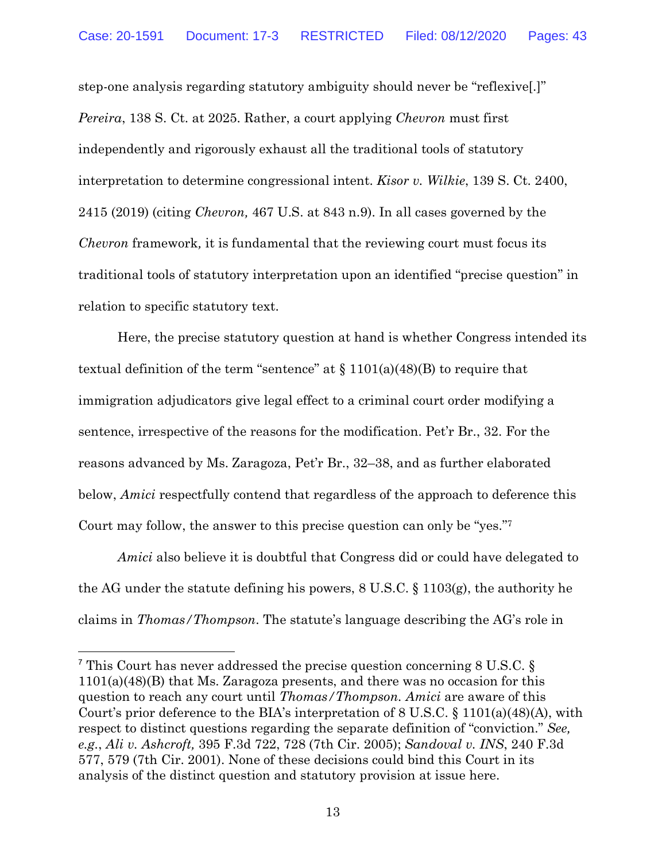step-one analysis regarding statutory ambiguity should never be "reflexive[.]" *Pereira*, 138 S. Ct. at 2025. Rather, a court applying *Chevron* must first independently and rigorously exhaust all the traditional tools of statutory interpretation to determine congressional intent. *Kisor v. Wilkie*, 139 S. Ct. 2400, 2415 (2019) (citing *Chevron,* 467 U.S. at 843 n.9). In all cases governed by the *Chevron* framework*,* it is fundamental that the reviewing court must focus its traditional tools of statutory interpretation upon an identified "precise question" in relation to specific statutory text.

Here, the precise statutory question at hand is whether Congress intended its textual definition of the term "sentence" at  $\S 1101(a)(48)(B)$  to require that immigration adjudicators give legal effect to a criminal court order modifying a sentence, irrespective of the reasons for the modification. Pet'r Br., 32. For the reasons advanced by Ms. Zaragoza, Pet'r Br., 32–38, and as further elaborated below, *Amici* respectfully contend that regardless of the approach to deference this Court may follow, the answer to this precise question can only be "yes."7

*Amici* also believe it is doubtful that Congress did or could have delegated to the AG under the statute defining his powers, 8 U.S.C. § 1103(g), the authority he claims in *Thomas/Thompson*. The statute's language describing the AG's role in

 <sup>7</sup> This Court has never addressed the precise question concerning 8 U.S.C. § 1101(a)(48)(B) that Ms. Zaragoza presents, and there was no occasion for this question to reach any court until *Thomas/Thompson. Amici* are aware of this Court's prior deference to the BIA's interpretation of 8 U.S.C. § 1101(a)(48)(A), with respect to distinct questions regarding the separate definition of "conviction." *See, e.g.*, *Ali v. Ashcroft,* 395 F.3d 722, 728 (7th Cir. 2005); *Sandoval v. INS*, 240 F.3d 577, 579 (7th Cir. 2001). None of these decisions could bind this Court in its analysis of the distinct question and statutory provision at issue here.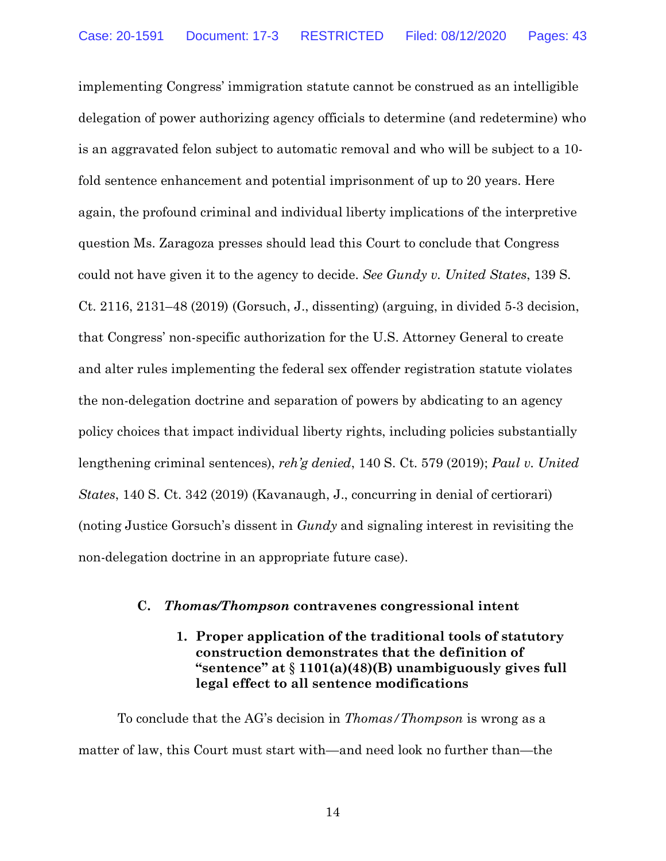implementing Congress' immigration statute cannot be construed as an intelligible delegation of power authorizing agency officials to determine (and redetermine) who is an aggravated felon subject to automatic removal and who will be subject to a 10 fold sentence enhancement and potential imprisonment of up to 20 years. Here again, the profound criminal and individual liberty implications of the interpretive question Ms. Zaragoza presses should lead this Court to conclude that Congress could not have given it to the agency to decide. *See Gundy v. United States*, 139 S. Ct. 2116, 2131–48 (2019) (Gorsuch, J., dissenting) (arguing, in divided 5-3 decision, that Congress' non-specific authorization for the U.S. Attorney General to create and alter rules implementing the federal sex offender registration statute violates the non-delegation doctrine and separation of powers by abdicating to an agency policy choices that impact individual liberty rights, including policies substantially lengthening criminal sentences), *reh'g denied*, 140 S. Ct. 579 (2019); *Paul v. United States*, 140 S. Ct. 342 (2019) (Kavanaugh, J., concurring in denial of certiorari) (noting Justice Gorsuch's dissent in *Gundy* and signaling interest in revisiting the non-delegation doctrine in an appropriate future case).

#### **C.** *Thomas/Thompson* **contravenes congressional intent**

## **1. Proper application of the traditional tools of statutory construction demonstrates that the definition of "sentence" at** § **1101(a)(48)(B) unambiguously gives full legal effect to all sentence modifications**

To conclude that the AG's decision in *Thomas/Thompson* is wrong as a matter of law, this Court must start with—and need look no further than—the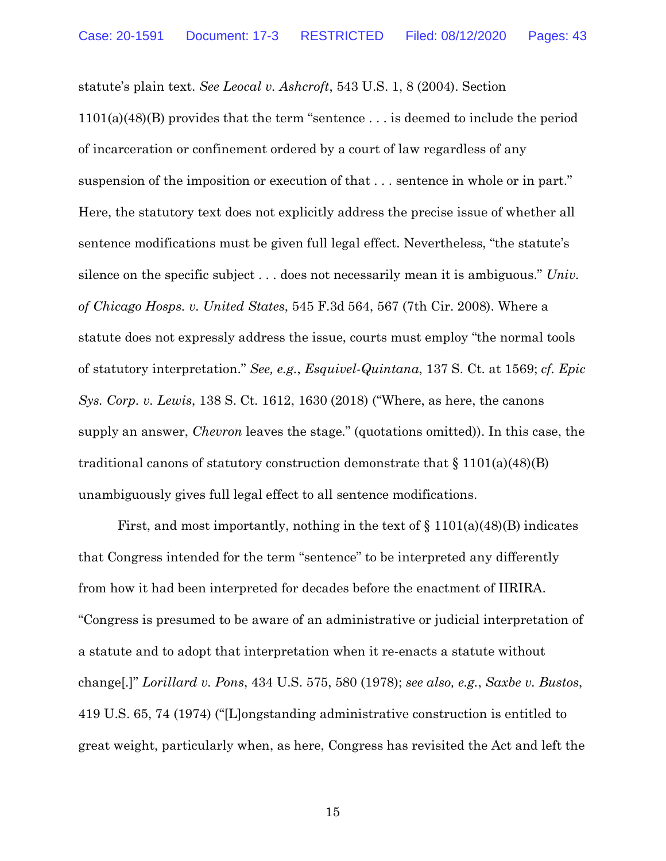statute's plain text. *See Leocal v. Ashcroft*, 543 U.S. 1, 8 (2004). Section 1101(a)(48)(B) provides that the term "sentence . . . is deemed to include the period of incarceration or confinement ordered by a court of law regardless of any suspension of the imposition or execution of that . . . sentence in whole or in part." Here, the statutory text does not explicitly address the precise issue of whether all sentence modifications must be given full legal effect. Nevertheless, "the statute's silence on the specific subject . . . does not necessarily mean it is ambiguous." *Univ. of Chicago Hosps. v. United States*, 545 F.3d 564, 567 (7th Cir. 2008). Where a statute does not expressly address the issue, courts must employ "the normal tools of statutory interpretation." *See, e.g.*, *Esquivel-Quintana*, 137 S. Ct. at 1569; *cf. Epic Sys. Corp. v. Lewis*, 138 S. Ct. 1612, 1630 (2018) ("Where, as here, the canons supply an answer, *Chevron* leaves the stage." (quotations omitted)). In this case, the traditional canons of statutory construction demonstrate that  $\S 1101(a)(48)(B)$ unambiguously gives full legal effect to all sentence modifications.

First, and most importantly, nothing in the text of  $\S 1101(a)(48)$  indicates that Congress intended for the term "sentence" to be interpreted any differently from how it had been interpreted for decades before the enactment of IIRIRA. "Congress is presumed to be aware of an administrative or judicial interpretation of a statute and to adopt that interpretation when it re-enacts a statute without change[.]" *Lorillard v. Pons*, 434 U.S. 575, 580 (1978); *see also, e.g.*, *Saxbe v. Bustos*, 419 U.S. 65, 74 (1974) ("[L]ongstanding administrative construction is entitled to great weight, particularly when, as here, Congress has revisited the Act and left the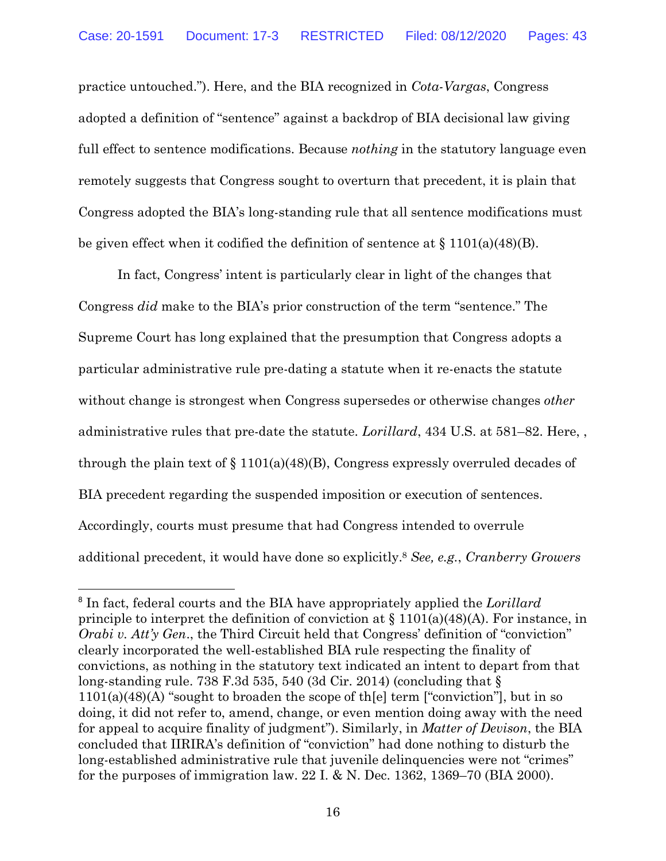practice untouched."). Here, and the BIA recognized in *Cota-Vargas*, Congress adopted a definition of "sentence" against a backdrop of BIA decisional law giving full effect to sentence modifications. Because *nothing* in the statutory language even remotely suggests that Congress sought to overturn that precedent, it is plain that Congress adopted the BIA's long-standing rule that all sentence modifications must be given effect when it codified the definition of sentence at  $\S 1101(a)(48)$ .

In fact, Congress' intent is particularly clear in light of the changes that Congress *did* make to the BIA's prior construction of the term "sentence." The Supreme Court has long explained that the presumption that Congress adopts a particular administrative rule pre-dating a statute when it re-enacts the statute without change is strongest when Congress supersedes or otherwise changes *other*  administrative rules that pre-date the statute. *Lorillard*, 434 U.S. at 581–82. Here, , through the plain text of  $\S 1101(a)(48)(B)$ , Congress expressly overruled decades of BIA precedent regarding the suspended imposition or execution of sentences. Accordingly, courts must presume that had Congress intended to overrule additional precedent, it would have done so explicitly.8 *See, e.g.*, *Cranberry Growers* 

 <sup>8</sup> In fact, federal courts and the BIA have appropriately applied the *Lorillard*  principle to interpret the definition of conviction at  $\S 1101(a)(48)(A)$ . For instance, in *Orabi v. Att'y Gen.*, the Third Circuit held that Congress' definition of "conviction" clearly incorporated the well-established BIA rule respecting the finality of convictions, as nothing in the statutory text indicated an intent to depart from that long-standing rule. 738 F.3d 535, 540 (3d Cir. 2014) (concluding that  $\S$  $1101(a)(48)$ (A) "sought to broaden the scope of the lterm ["conviction"], but in so doing, it did not refer to, amend, change, or even mention doing away with the need for appeal to acquire finality of judgment"). Similarly, in *Matter of Devison*, the BIA concluded that IIRIRA's definition of "conviction" had done nothing to disturb the long-established administrative rule that juvenile delinquencies were not "crimes" for the purposes of immigration law. 22 I. & N. Dec. 1362, 1369–70 (BIA 2000).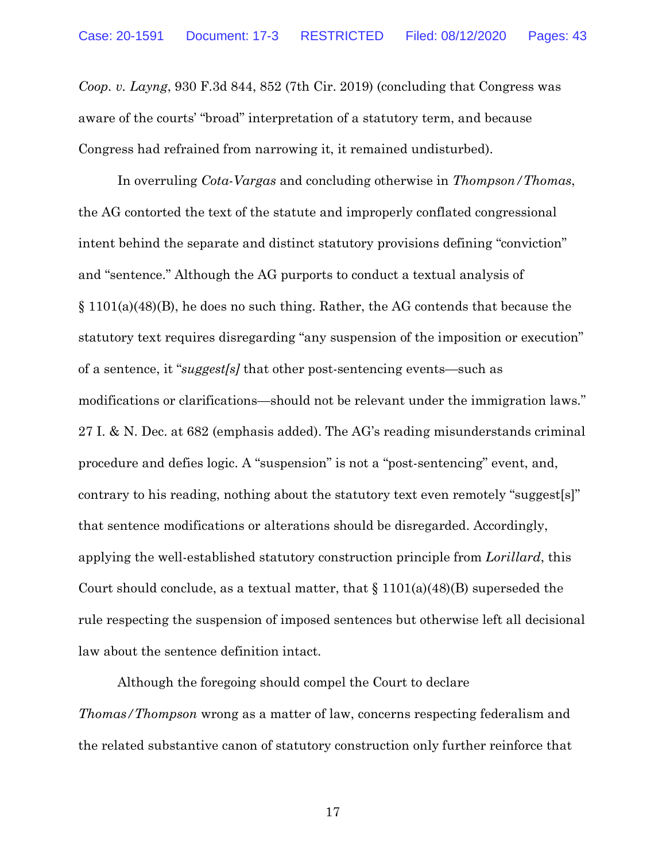*Coop. v. Layng*, 930 F.3d 844, 852 (7th Cir. 2019) (concluding that Congress was aware of the courts' "broad" interpretation of a statutory term, and because Congress had refrained from narrowing it, it remained undisturbed).

In overruling *Cota-Vargas* and concluding otherwise in *Thompson/Thomas*, the AG contorted the text of the statute and improperly conflated congressional intent behind the separate and distinct statutory provisions defining "conviction" and "sentence." Although the AG purports to conduct a textual analysis of § 1101(a)(48)(B), he does no such thing. Rather, the AG contends that because the statutory text requires disregarding "any suspension of the imposition or execution" of a sentence, it "*suggest[s]* that other post-sentencing events—such as modifications or clarifications—should not be relevant under the immigration laws." 27 I. & N. Dec. at 682 (emphasis added). The AG's reading misunderstands criminal procedure and defies logic. A "suspension" is not a "post-sentencing" event, and, contrary to his reading, nothing about the statutory text even remotely "suggest[s]" that sentence modifications or alterations should be disregarded. Accordingly, applying the well-established statutory construction principle from *Lorillard*, this Court should conclude, as a textual matter, that  $\S 1101(a)(48)$  superseded the rule respecting the suspension of imposed sentences but otherwise left all decisional law about the sentence definition intact.

Although the foregoing should compel the Court to declare *Thomas/Thompson* wrong as a matter of law, concerns respecting federalism and the related substantive canon of statutory construction only further reinforce that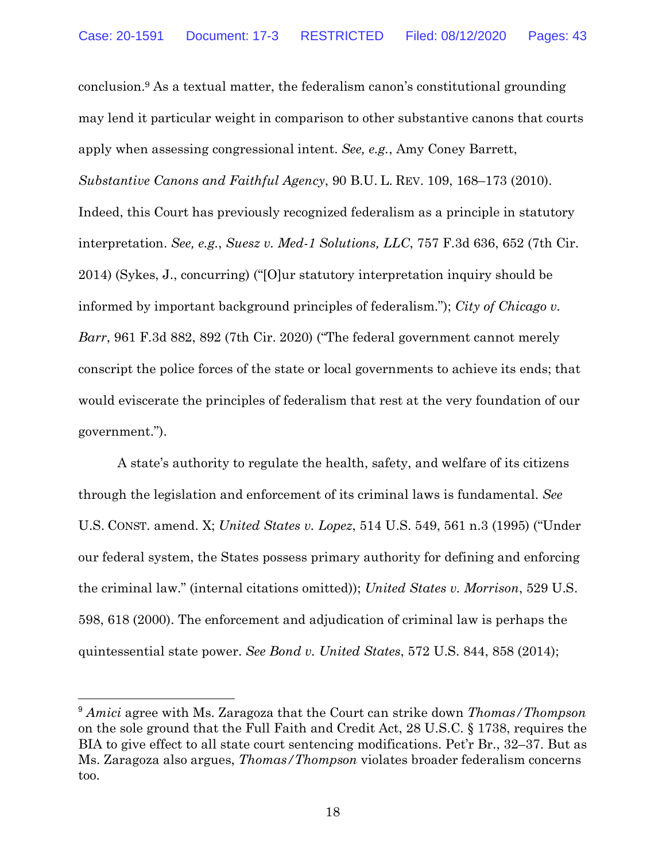conclusion.9 As a textual matter, the federalism canon's constitutional grounding may lend it particular weight in comparison to other substantive canons that courts apply when assessing congressional intent. *See, e.g.*, Amy Coney Barrett, *Substantive Canons and Faithful Agency*, 90 B.U. L. REV. 109, 168–173 (2010). Indeed, this Court has previously recognized federalism as a principle in statutory interpretation. *See, e.g.*, *Suesz v. Med-1 Solutions, LLC*, 757 F.3d 636, 652 (7th Cir. 2014) (Sykes, J., concurring) ("[O]ur statutory interpretation inquiry should be informed by important background principles of federalism."); *City of Chicago v. Barr*, 961 F.3d 882, 892 (7th Cir. 2020) ("The federal government cannot merely conscript the police forces of the state or local governments to achieve its ends; that would eviscerate the principles of federalism that rest at the very foundation of our government.").

A state's authority to regulate the health, safety, and welfare of its citizens through the legislation and enforcement of its criminal laws is fundamental. *See* U.S. CONST. amend. X; *United States v. Lopez*, 514 U.S. 549, 561 n.3 (1995) ("Under our federal system, the States possess primary authority for defining and enforcing the criminal law." (internal citations omitted)); *United States v. Morrison*, 529 U.S. 598, 618 (2000). The enforcement and adjudication of criminal law is perhaps the quintessential state power. *See Bond v. United States*, 572 U.S. 844, 858 (2014);

 <sup>9</sup> *Amici* agree with Ms. Zaragoza that the Court can strike down *Thomas/Thompson*  on the sole ground that the Full Faith and Credit Act, 28 U.S.C. § 1738, requires the BIA to give effect to all state court sentencing modifications. Pet'r Br., 32–37. But as Ms. Zaragoza also argues, *Thomas/Thompson* violates broader federalism concerns too.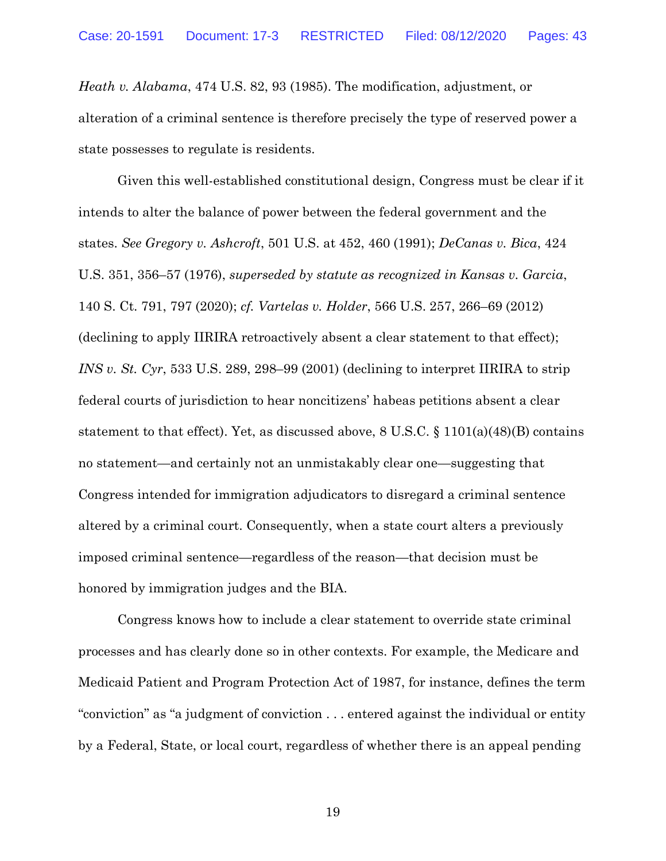*Heath v. Alabama*, 474 U.S. 82, 93 (1985). The modification, adjustment, or alteration of a criminal sentence is therefore precisely the type of reserved power a state possesses to regulate is residents.

Given this well-established constitutional design, Congress must be clear if it intends to alter the balance of power between the federal government and the states. *See Gregory v. Ashcroft*, 501 U.S. at 452, 460 (1991); *DeCanas v. Bica*, 424 U.S. 351, 356–57 (1976), *superseded by statute as recognized in Kansas v. Garcia*, 140 S. Ct. 791, 797 (2020); *cf. Vartelas v. Holder*, 566 U.S. 257, 266–69 (2012) (declining to apply IIRIRA retroactively absent a clear statement to that effect); *INS v. St. Cyr*, 533 U.S. 289, 298–99 (2001) (declining to interpret IIRIRA to strip federal courts of jurisdiction to hear noncitizens' habeas petitions absent a clear statement to that effect). Yet, as discussed above,  $8 \text{ U.S.C.} \$   $1101(a)(48)(B)$  contains no statement—and certainly not an unmistakably clear one—suggesting that Congress intended for immigration adjudicators to disregard a criminal sentence altered by a criminal court. Consequently, when a state court alters a previously imposed criminal sentence—regardless of the reason—that decision must be honored by immigration judges and the BIA.

Congress knows how to include a clear statement to override state criminal processes and has clearly done so in other contexts. For example, the Medicare and Medicaid Patient and Program Protection Act of 1987, for instance, defines the term "conviction" as "a judgment of conviction . . . entered against the individual or entity by a Federal, State, or local court, regardless of whether there is an appeal pending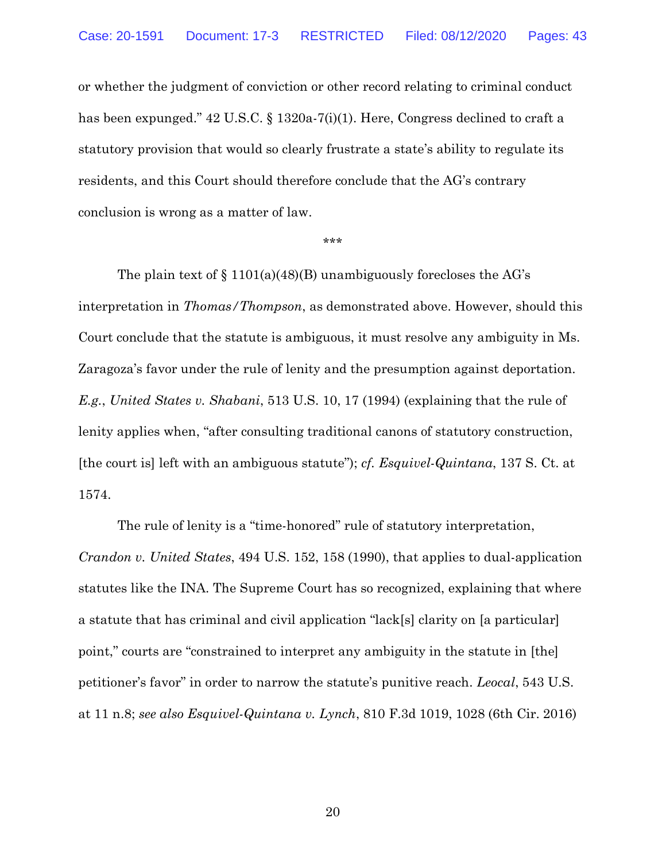or whether the judgment of conviction or other record relating to criminal conduct has been expunged." 42 U.S.C. § 1320a-7(i)(1). Here, Congress declined to craft a statutory provision that would so clearly frustrate a state's ability to regulate its residents, and this Court should therefore conclude that the AG's contrary conclusion is wrong as a matter of law.

\*\*\*

The plain text of  $\S 1101(a)(48)$ (B) unambiguously forecloses the AG's interpretation in *Thomas/Thompson*, as demonstrated above. However, should this Court conclude that the statute is ambiguous, it must resolve any ambiguity in Ms. Zaragoza's favor under the rule of lenity and the presumption against deportation. *E.g.*, *United States v. Shabani*, 513 U.S. 10, 17 (1994) (explaining that the rule of lenity applies when, "after consulting traditional canons of statutory construction, [the court is] left with an ambiguous statute"); *cf. Esquivel-Quintana*, 137 S. Ct. at 1574.

The rule of lenity is a "time-honored" rule of statutory interpretation, *Crandon v. United States*, 494 U.S. 152, 158 (1990), that applies to dual-application statutes like the INA. The Supreme Court has so recognized, explaining that where a statute that has criminal and civil application "lack[s] clarity on [a particular] point," courts are "constrained to interpret any ambiguity in the statute in [the] petitioner's favor" in order to narrow the statute's punitive reach. *Leocal*, 543 U.S. at 11 n.8; *see also Esquivel-Quintana v. Lynch*, 810 F.3d 1019, 1028 (6th Cir. 2016)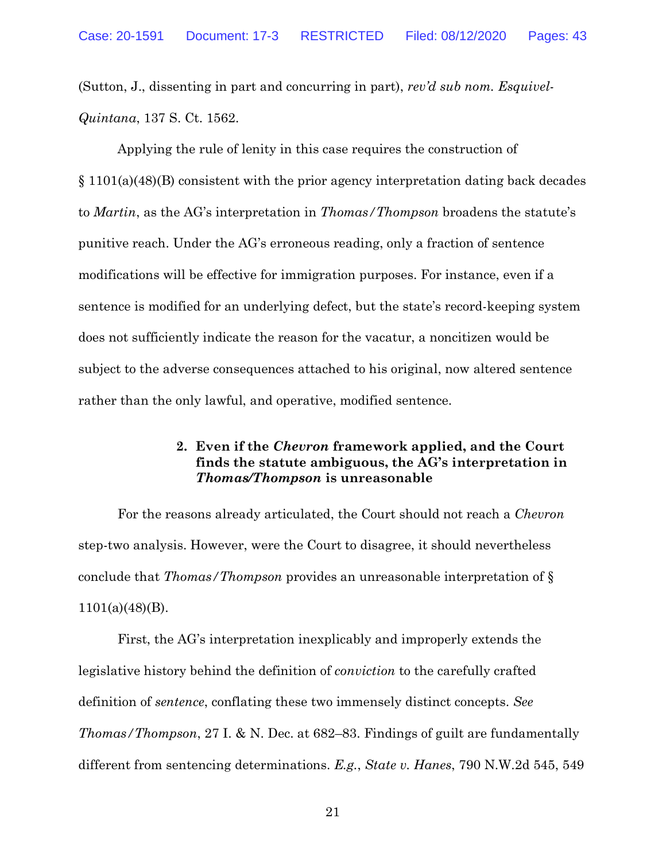(Sutton, J., dissenting in part and concurring in part), *rev'd sub nom. Esquivel-Quintana*, 137 S. Ct. 1562.

Applying the rule of lenity in this case requires the construction of § 1101(a)(48)(B) consistent with the prior agency interpretation dating back decades to *Martin*, as the AG's interpretation in *Thomas/Thompson* broadens the statute's punitive reach. Under the AG's erroneous reading, only a fraction of sentence modifications will be effective for immigration purposes. For instance, even if a sentence is modified for an underlying defect, but the state's record-keeping system does not sufficiently indicate the reason for the vacatur, a noncitizen would be subject to the adverse consequences attached to his original, now altered sentence rather than the only lawful, and operative, modified sentence.

## **2. Even if the** *Chevron* **framework applied, and the Court finds the statute ambiguous, the AG's interpretation in**  *Thomas/Thompson* **is unreasonable**

For the reasons already articulated, the Court should not reach a *Chevron*  step-two analysis. However, were the Court to disagree, it should nevertheless conclude that *Thomas/Thompson* provides an unreasonable interpretation of § 1101(a)(48)(B).

First, the AG's interpretation inexplicably and improperly extends the legislative history behind the definition of *conviction* to the carefully crafted definition of *sentence*, conflating these two immensely distinct concepts. *See Thomas/Thompson*, 27 I. & N. Dec. at 682–83. Findings of guilt are fundamentally different from sentencing determinations. *E.g.*, *State v. Hanes*, 790 N.W.2d 545, 549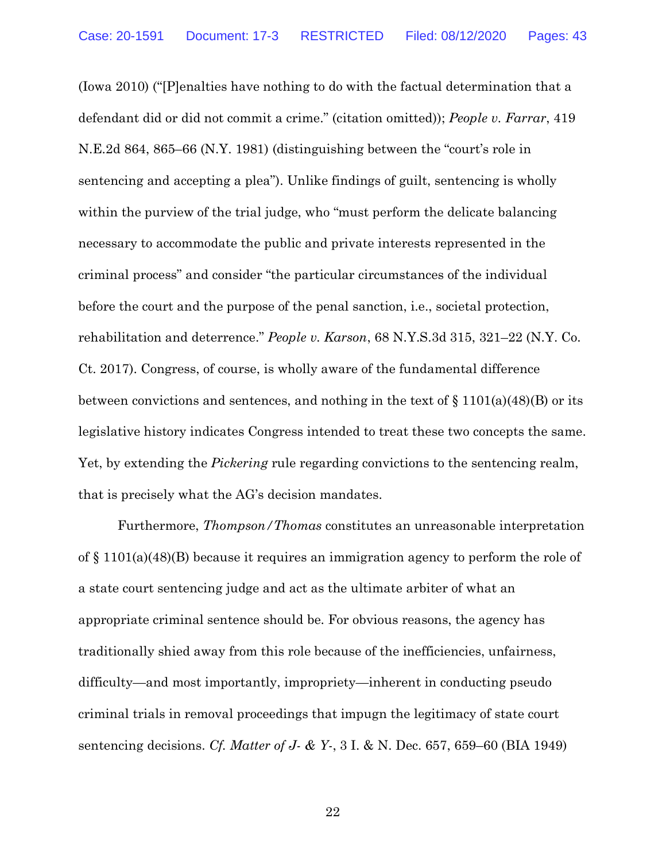(Iowa 2010) ("[P]enalties have nothing to do with the factual determination that a defendant did or did not commit a crime." (citation omitted)); *People v. Farrar*, 419 N.E.2d 864, 865–66 (N.Y. 1981) (distinguishing between the "court's role in sentencing and accepting a plea"). Unlike findings of guilt, sentencing is wholly within the purview of the trial judge, who "must perform the delicate balancing necessary to accommodate the public and private interests represented in the criminal process" and consider "the particular circumstances of the individual before the court and the purpose of the penal sanction, i.e., societal protection, rehabilitation and deterrence." *People v. Karson*, 68 N.Y.S.3d 315, 321–22 (N.Y. Co. Ct. 2017). Congress, of course, is wholly aware of the fundamental difference between convictions and sentences, and nothing in the text of  $\S 1101(a)(48)(B)$  or its legislative history indicates Congress intended to treat these two concepts the same. Yet, by extending the *Pickering* rule regarding convictions to the sentencing realm, that is precisely what the AG's decision mandates.

Furthermore, *Thompson/Thomas* constitutes an unreasonable interpretation of  $\S 1101(a)(48)$  because it requires an immigration agency to perform the role of a state court sentencing judge and act as the ultimate arbiter of what an appropriate criminal sentence should be. For obvious reasons, the agency has traditionally shied away from this role because of the inefficiencies, unfairness, difficulty—and most importantly, impropriety—inherent in conducting pseudo criminal trials in removal proceedings that impugn the legitimacy of state court sentencing decisions. *Cf. Matter of J- & Y-*, 3 I. & N. Dec. 657, 659–60 (BIA 1949)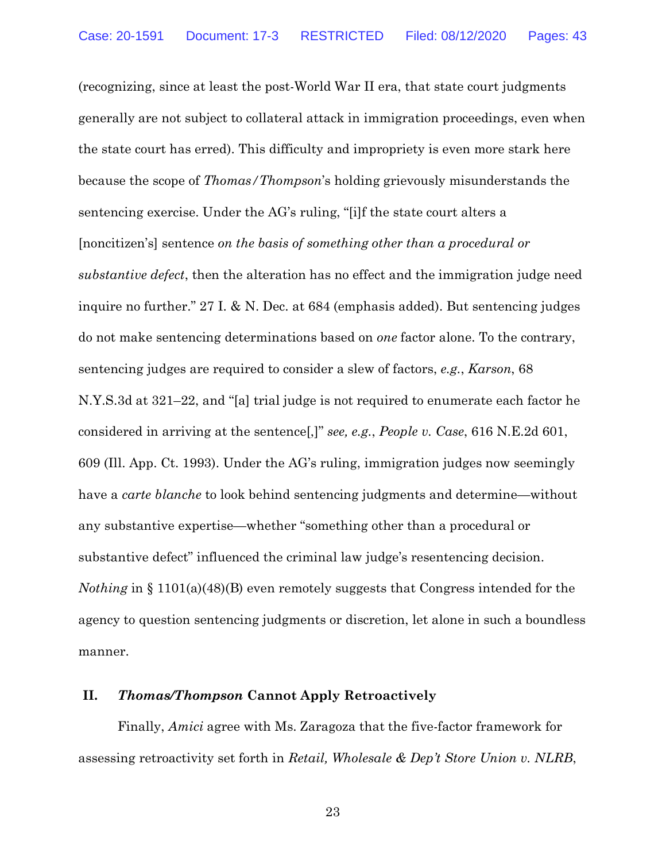(recognizing, since at least the post-World War II era, that state court judgments generally are not subject to collateral attack in immigration proceedings, even when the state court has erred). This difficulty and impropriety is even more stark here because the scope of *Thomas/Thompson*'s holding grievously misunderstands the sentencing exercise. Under the AG's ruling, "[i]f the state court alters a [noncitizen's] sentence *on the basis of something other than a procedural or substantive defect*, then the alteration has no effect and the immigration judge need inquire no further." 27 I. & N. Dec. at 684 (emphasis added). But sentencing judges do not make sentencing determinations based on *one* factor alone. To the contrary, sentencing judges are required to consider a slew of factors, *e.g.*, *Karson*, 68 N.Y.S.3d at 321–22, and "[a] trial judge is not required to enumerate each factor he considered in arriving at the sentence[,]" *see, e.g.*, *People v. Case*, 616 N.E.2d 601, 609 (Ill. App. Ct. 1993). Under the AG's ruling, immigration judges now seemingly have a *carte blanche* to look behind sentencing judgments and determine—without any substantive expertise—whether "something other than a procedural or substantive defect" influenced the criminal law judge's resentencing decision. *Nothing* in § 1101(a)(48)(B) even remotely suggests that Congress intended for the agency to question sentencing judgments or discretion, let alone in such a boundless manner.

## **II.** *Thomas/Thompson* **Cannot Apply Retroactively**

Finally, *Amici* agree with Ms. Zaragoza that the five-factor framework for assessing retroactivity set forth in *Retail, Wholesale & Dep't Store Union v. NLRB*,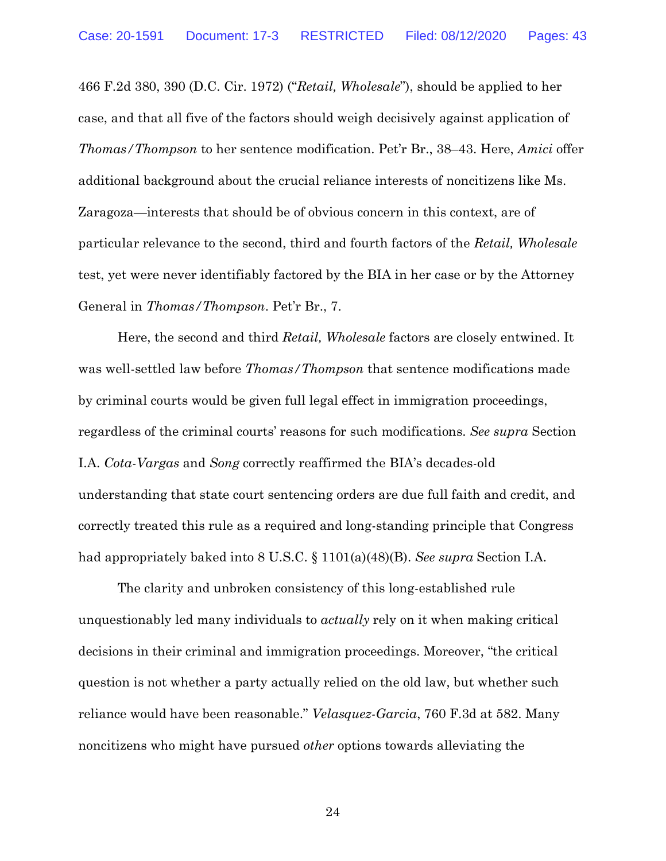466 F.2d 380, 390 (D.C. Cir. 1972) ("*Retail, Wholesale*"), should be applied to her case, and that all five of the factors should weigh decisively against application of *Thomas/Thompson* to her sentence modification. Pet'r Br., 38–43. Here, *Amici* offer additional background about the crucial reliance interests of noncitizens like Ms. Zaragoza—interests that should be of obvious concern in this context, are of particular relevance to the second, third and fourth factors of the *Retail, Wholesale*  test, yet were never identifiably factored by the BIA in her case or by the Attorney General in *Thomas/Thompson*. Pet'r Br., 7.

Here, the second and third *Retail, Wholesale* factors are closely entwined. It was well-settled law before *Thomas/Thompson* that sentence modifications made by criminal courts would be given full legal effect in immigration proceedings, regardless of the criminal courts' reasons for such modifications. *See supra* Section I.A. *Cota-Vargas* and *Song* correctly reaffirmed the BIA's decades-old understanding that state court sentencing orders are due full faith and credit, and correctly treated this rule as a required and long-standing principle that Congress had appropriately baked into 8 U.S.C. § 1101(a)(48)(B). *See supra* Section I.A.

The clarity and unbroken consistency of this long-established rule unquestionably led many individuals to *actually* rely on it when making critical decisions in their criminal and immigration proceedings. Moreover, "the critical question is not whether a party actually relied on the old law, but whether such reliance would have been reasonable." *Velasquez-Garcia*, 760 F.3d at 582. Many noncitizens who might have pursued *other* options towards alleviating the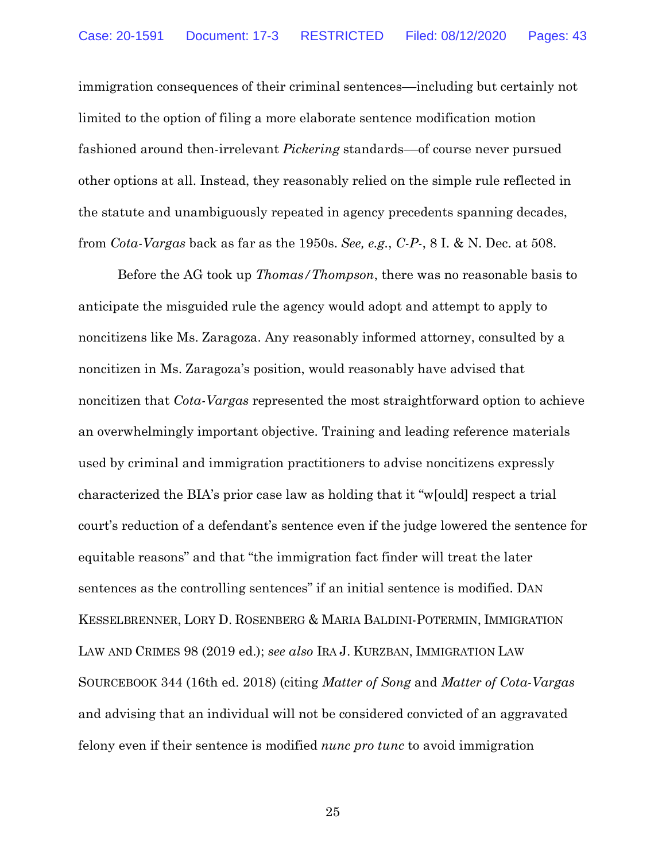immigration consequences of their criminal sentences––including but certainly not limited to the option of filing a more elaborate sentence modification motion fashioned around then-irrelevant *Pickering* standards––of course never pursued other options at all. Instead, they reasonably relied on the simple rule reflected in the statute and unambiguously repeated in agency precedents spanning decades, from *Cota-Vargas* back as far as the 1950s. *See, e.g.*, *C-P-*, 8 I. & N. Dec. at 508.

Before the AG took up *Thomas/Thompson*, there was no reasonable basis to anticipate the misguided rule the agency would adopt and attempt to apply to noncitizens like Ms. Zaragoza. Any reasonably informed attorney, consulted by a noncitizen in Ms. Zaragoza's position, would reasonably have advised that noncitizen that *Cota-Vargas* represented the most straightforward option to achieve an overwhelmingly important objective. Training and leading reference materials used by criminal and immigration practitioners to advise noncitizens expressly characterized the BIA's prior case law as holding that it "w[ould] respect a trial court's reduction of a defendant's sentence even if the judge lowered the sentence for equitable reasons" and that "the immigration fact finder will treat the later sentences as the controlling sentences" if an initial sentence is modified. DAN KESSELBRENNER, LORY D. ROSENBERG & MARIA BALDINI-POTERMIN, IMMIGRATION LAW AND CRIMES 98 (2019 ed.); *see also* IRA J. KURZBAN, IMMIGRATION LAW SOURCEBOOK 344 (16th ed. 2018) (citing *Matter of Song* and *Matter of Cota-Vargas* and advising that an individual will not be considered convicted of an aggravated felony even if their sentence is modified *nunc pro tunc* to avoid immigration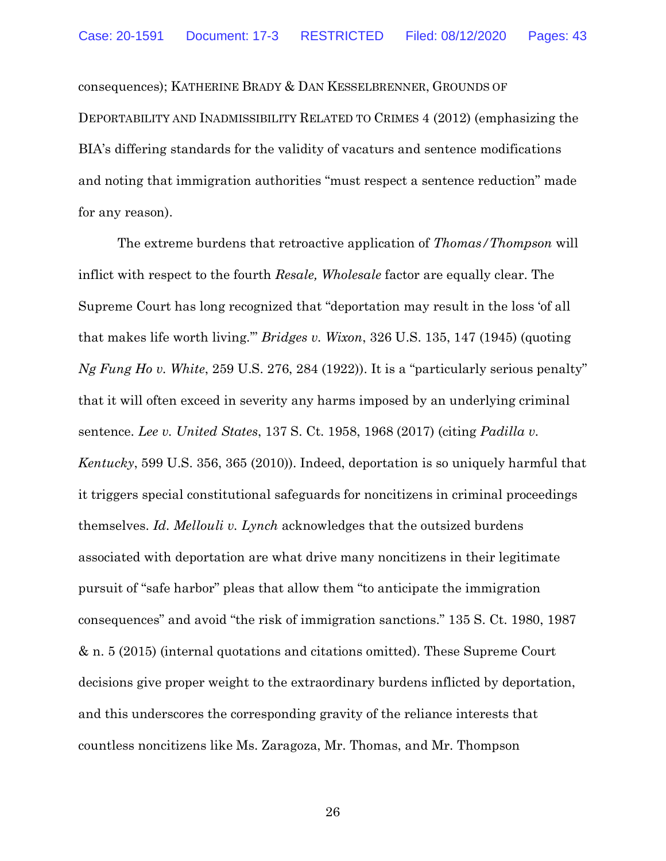consequences); KATHERINE BRADY & DAN KESSELBRENNER, GROUNDS OF DEPORTABILITY AND INADMISSIBILITY RELATED TO CRIMES 4 (2012) (emphasizing the BIA's differing standards for the validity of vacaturs and sentence modifications and noting that immigration authorities "must respect a sentence reduction" made for any reason).

The extreme burdens that retroactive application of *Thomas/Thompson* will inflict with respect to the fourth *Resale, Wholesale* factor are equally clear. The Supreme Court has long recognized that "deportation may result in the loss 'of all that makes life worth living.'" *Bridges v. Wixon*, 326 U.S. 135, 147 (1945) (quoting *Ng Fung Ho v. White*, 259 U.S. 276, 284 (1922)). It is a "particularly serious penalty" that it will often exceed in severity any harms imposed by an underlying criminal sentence. *Lee v. United States*, 137 S. Ct. 1958, 1968 (2017) (citing *Padilla v. Kentucky*, 599 U.S. 356, 365 (2010)). Indeed, deportation is so uniquely harmful that it triggers special constitutional safeguards for noncitizens in criminal proceedings themselves. *Id. Mellouli v. Lynch* acknowledges that the outsized burdens associated with deportation are what drive many noncitizens in their legitimate pursuit of "safe harbor" pleas that allow them "to anticipate the immigration consequences" and avoid "the risk of immigration sanctions." 135 S. Ct. 1980, 1987 & n. 5 (2015) (internal quotations and citations omitted). These Supreme Court decisions give proper weight to the extraordinary burdens inflicted by deportation, and this underscores the corresponding gravity of the reliance interests that countless noncitizens like Ms. Zaragoza, Mr. Thomas, and Mr. Thompson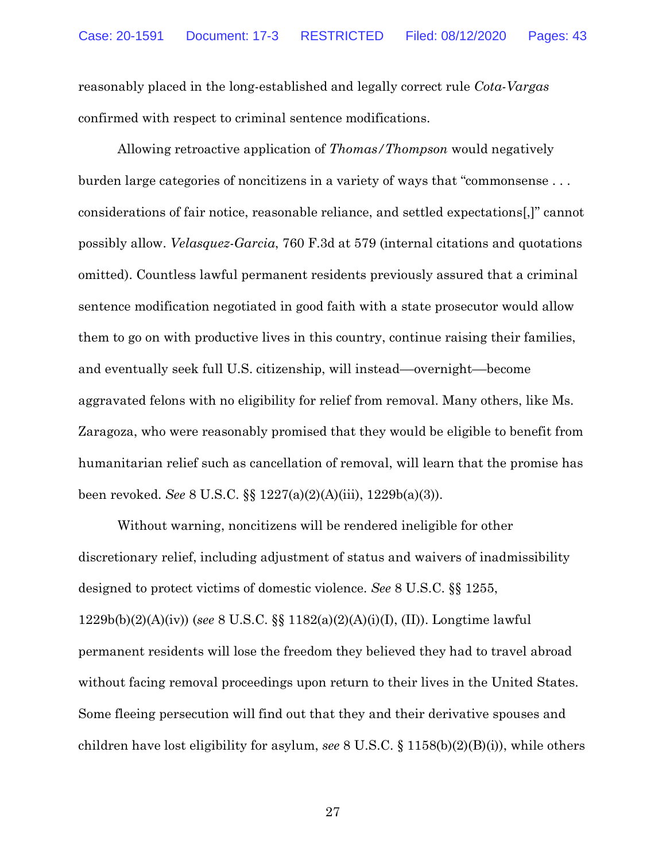reasonably placed in the long-established and legally correct rule *Cota-Vargas* confirmed with respect to criminal sentence modifications.

Allowing retroactive application of *Thomas/Thompson* would negatively burden large categories of noncitizens in a variety of ways that "commonsense . . . considerations of fair notice, reasonable reliance, and settled expectations[,]" cannot possibly allow. *Velasquez-Garcia*, 760 F.3d at 579 (internal citations and quotations omitted). Countless lawful permanent residents previously assured that a criminal sentence modification negotiated in good faith with a state prosecutor would allow them to go on with productive lives in this country, continue raising their families, and eventually seek full U.S. citizenship, will instead––overnight––become aggravated felons with no eligibility for relief from removal. Many others, like Ms. Zaragoza, who were reasonably promised that they would be eligible to benefit from humanitarian relief such as cancellation of removal, will learn that the promise has been revoked. *See* 8 U.S.C. §§ 1227(a)(2)(A)(iii), 1229b(a)(3)).

Without warning, noncitizens will be rendered ineligible for other discretionary relief, including adjustment of status and waivers of inadmissibility designed to protect victims of domestic violence. *See* 8 U.S.C. §§ 1255, 1229b(b)(2)(A)(iv)) (*see* 8 U.S.C. §§ 1182(a)(2)(A)(i)(I), (II)). Longtime lawful permanent residents will lose the freedom they believed they had to travel abroad without facing removal proceedings upon return to their lives in the United States. Some fleeing persecution will find out that they and their derivative spouses and children have lost eligibility for asylum, *see* 8 U.S.C. § 1158(b)(2)(B)(i)), while others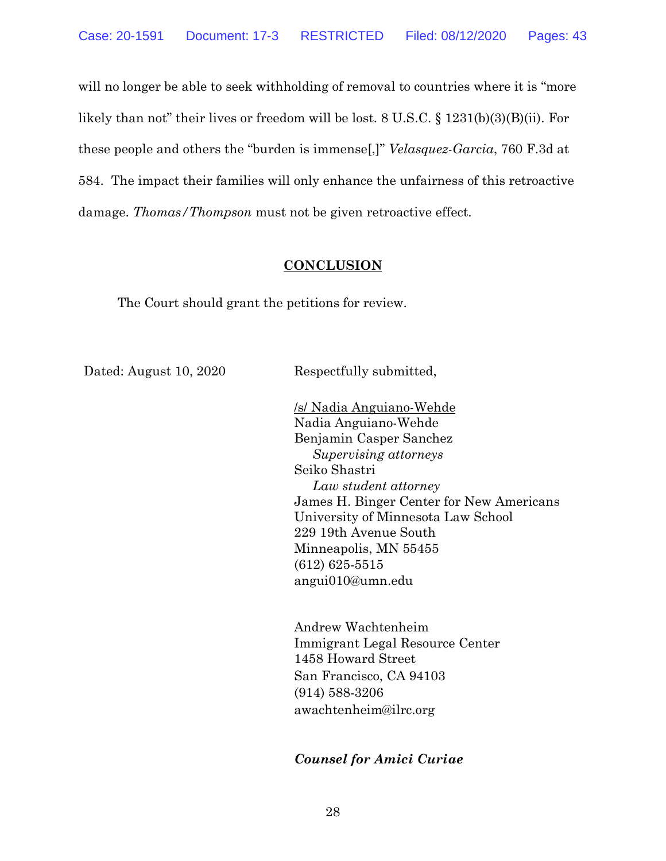will no longer be able to seek withholding of removal to countries where it is "more likely than not" their lives or freedom will be lost. 8 U.S.C. § 1231(b)(3)(B)(ii). For these people and others the "burden is immense[,]" *Velasquez-Garcia*, 760 F.3d at 584. The impact their families will only enhance the unfairness of this retroactive damage. *Thomas/Thompson* must not be given retroactive effect.

#### **CONCLUSION**

The Court should grant the petitions for review.

Dated: August 10, 2020 Respectfully submitted,

/s/ Nadia Anguiano-Wehde Nadia Anguiano-Wehde Benjamin Casper Sanchez  *Supervising attorneys* Seiko Shastri  *Law student attorney* James H. Binger Center for New Americans University of Minnesota Law School 229 19th Avenue South Minneapolis, MN 55455 (612) 625-5515 angui010@umn.edu

Andrew Wachtenheim Immigrant Legal Resource Center 1458 Howard Street San Francisco, CA 94103 (914) 588-3206 awachtenheim@ilrc.org

## *Counsel for Amici Curiae*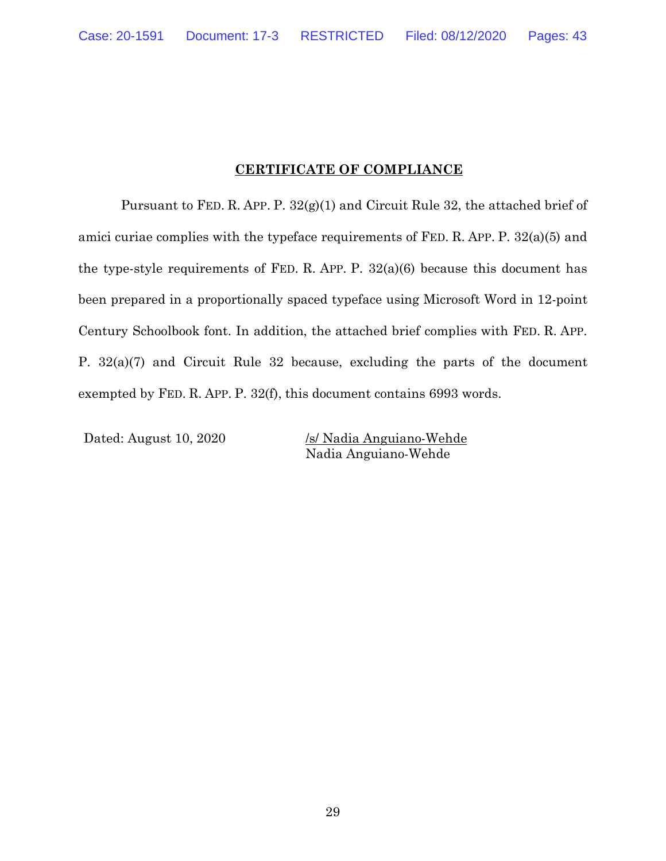## **CERTIFICATE OF COMPLIANCE**

Pursuant to FED. R. APP. P. 32(g)(1) and Circuit Rule 32, the attached brief of amici curiae complies with the typeface requirements of FED. R. APP. P. 32(a)(5) and the type-style requirements of FED. R. APP. P.  $32(a)(6)$  because this document has been prepared in a proportionally spaced typeface using Microsoft Word in 12-point Century Schoolbook font. In addition, the attached brief complies with FED. R. APP. P. 32(a)(7) and Circuit Rule 32 because, excluding the parts of the document exempted by FED. R. APP. P. 32(f), this document contains 6993 words.

Dated: August 10, 2020 /s/ Nadia Anguiano-Wehde Nadia Anguiano-Wehde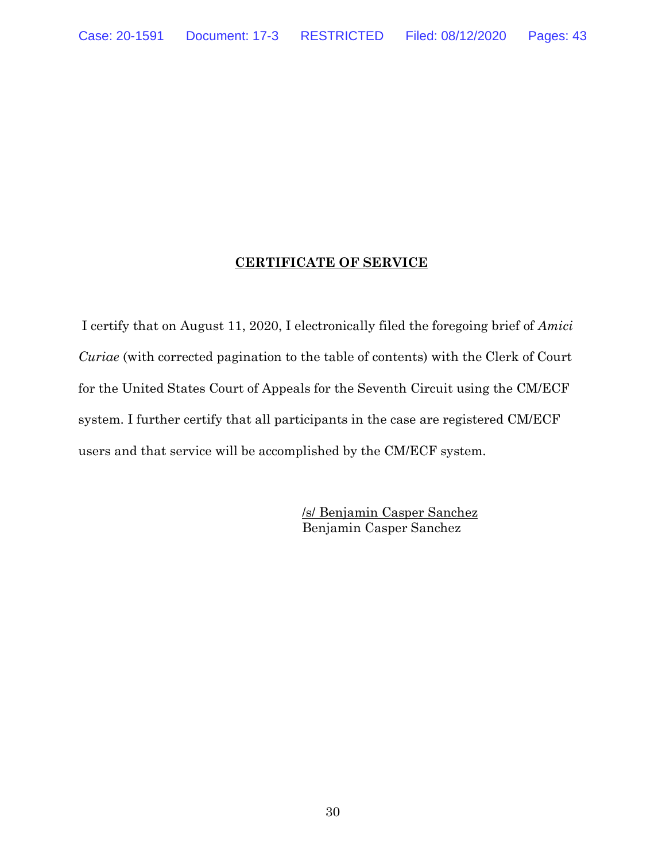### **CERTIFICATE OF SERVICE**

I certify that on August 11, 2020, I electronically filed the foregoing brief of *Amici Curiae* (with corrected pagination to the table of contents) with the Clerk of Court for the United States Court of Appeals for the Seventh Circuit using the CM/ECF system. I further certify that all participants in the case are registered CM/ECF users and that service will be accomplished by the CM/ECF system.

> /s/ Benjamin Casper Sanchez Benjamin Casper Sanchez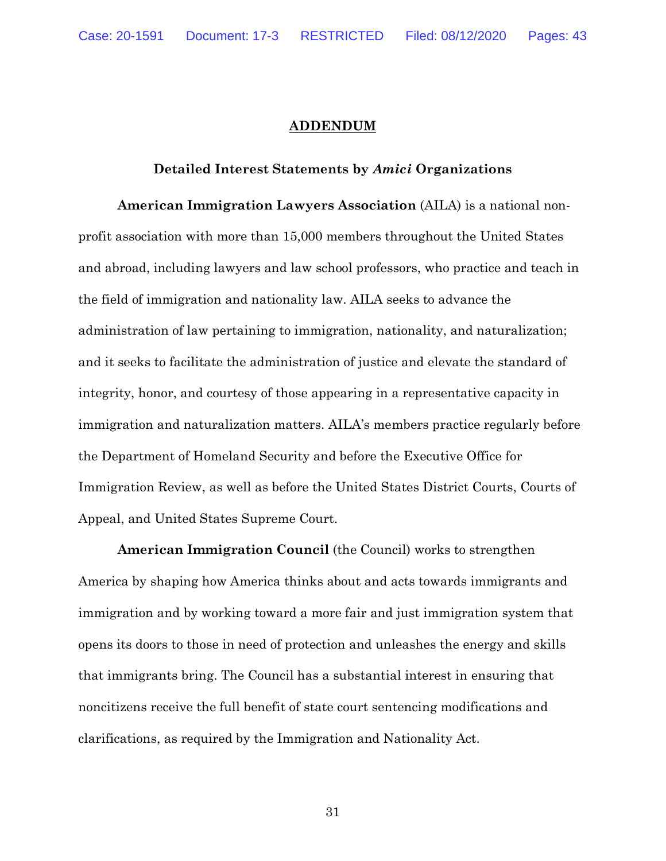#### **ADDENDUM**

#### **Detailed Interest Statements by** *Amici* **Organizations**

**American Immigration Lawyers Association** (AILA) is a national nonprofit association with more than 15,000 members throughout the United States and abroad, including lawyers and law school professors, who practice and teach in the field of immigration and nationality law. AILA seeks to advance the administration of law pertaining to immigration, nationality, and naturalization; and it seeks to facilitate the administration of justice and elevate the standard of integrity, honor, and courtesy of those appearing in a representative capacity in immigration and naturalization matters. AILA's members practice regularly before the Department of Homeland Security and before the Executive Office for Immigration Review, as well as before the United States District Courts, Courts of Appeal, and United States Supreme Court.

**American Immigration Council** (the Council) works to strengthen America by shaping how America thinks about and acts towards immigrants and immigration and by working toward a more fair and just immigration system that opens its doors to those in need of protection and unleashes the energy and skills that immigrants bring. The Council has a substantial interest in ensuring that noncitizens receive the full benefit of state court sentencing modifications and clarifications, as required by the Immigration and Nationality Act.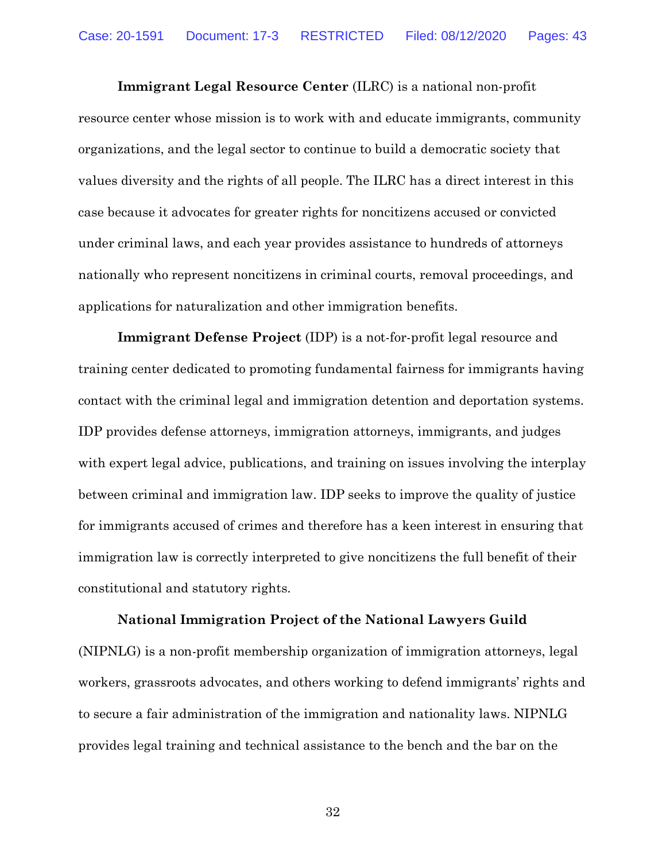**Immigrant Legal Resource Center** (ILRC) is a national non-profit resource center whose mission is to work with and educate immigrants, community organizations, and the legal sector to continue to build a democratic society that values diversity and the rights of all people. The ILRC has a direct interest in this case because it advocates for greater rights for noncitizens accused or convicted under criminal laws, and each year provides assistance to hundreds of attorneys nationally who represent noncitizens in criminal courts, removal proceedings, and applications for naturalization and other immigration benefits.

**Immigrant Defense Project** (IDP) is a not-for-profit legal resource and training center dedicated to promoting fundamental fairness for immigrants having contact with the criminal legal and immigration detention and deportation systems. IDP provides defense attorneys, immigration attorneys, immigrants, and judges with expert legal advice, publications, and training on issues involving the interplay between criminal and immigration law. IDP seeks to improve the quality of justice for immigrants accused of crimes and therefore has a keen interest in ensuring that immigration law is correctly interpreted to give noncitizens the full benefit of their constitutional and statutory rights.

**National Immigration Project of the National Lawyers Guild**  (NIPNLG) is a non-profit membership organization of immigration attorneys, legal workers, grassroots advocates, and others working to defend immigrants' rights and to secure a fair administration of the immigration and nationality laws. NIPNLG provides legal training and technical assistance to the bench and the bar on the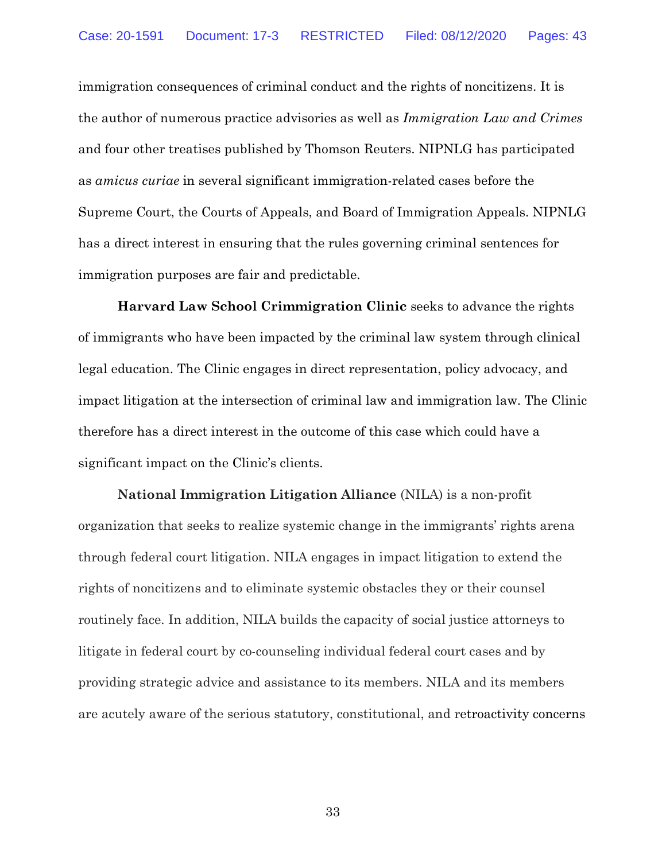immigration consequences of criminal conduct and the rights of noncitizens. It is the author of numerous practice advisories as well as *Immigration Law and Crimes*  and four other treatises published by Thomson Reuters. NIPNLG has participated as *amicus curiae* in several significant immigration-related cases before the Supreme Court, the Courts of Appeals, and Board of Immigration Appeals. NIPNLG has a direct interest in ensuring that the rules governing criminal sentences for immigration purposes are fair and predictable.

**Harvard Law School Crimmigration Clinic** seeks to advance the rights of immigrants who have been impacted by the criminal law system through clinical legal education. The Clinic engages in direct representation, policy advocacy, and impact litigation at the intersection of criminal law and immigration law. The Clinic therefore has a direct interest in the outcome of this case which could have a significant impact on the Clinic's clients.

**National Immigration Litigation Alliance** (NILA) is a non-profit organization that seeks to realize systemic change in the immigrants' rights arena through federal court litigation. NILA engages in impact litigation to extend the rights of noncitizens and to eliminate systemic obstacles they or their counsel routinely face. In addition, NILA builds the capacity of social justice attorneys to litigate in federal court by co-counseling individual federal court cases and by providing strategic advice and assistance to its members. NILA and its members are acutely aware of the serious statutory, constitutional, and retroactivity concerns